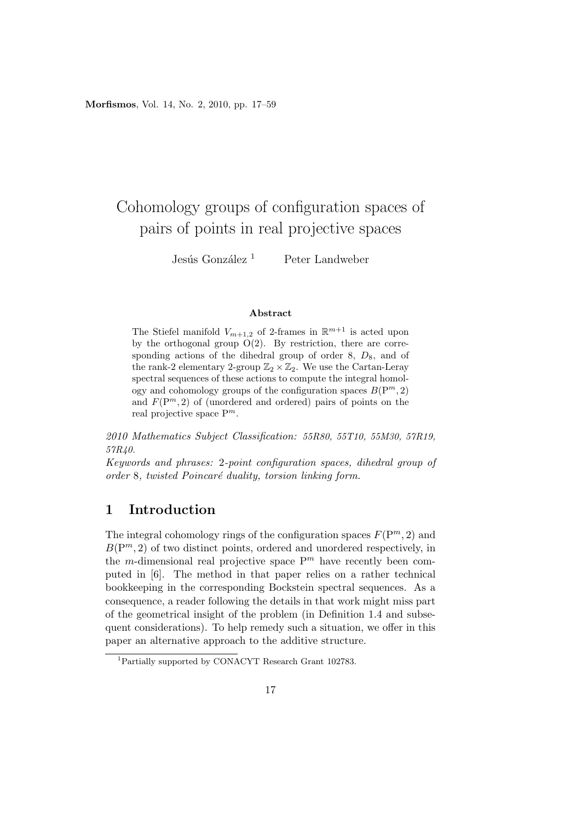**Morfismos**, Vol. 14, No. 2, 2010, pp. 17–59

# Cohomology groups of configuration spaces of pairs of points in real projective spaces

Jesús González <sup>1</sup> Peter Landweber

#### **Abstract**

The Stiefel manifold  $V_{m+1,2}$  of 2-frames in  $\mathbb{R}^{m+1}$  is acted upon by the orthogonal group  $O(2)$ . By restriction, there are corresponding actions of the dihedral group of order 8,  $D_8$ , and of the rank-2 elementary 2-group  $\mathbb{Z}_2 \times \mathbb{Z}_2$ . We use the Cartan-Leray spectral sequences of these actions to compute the integral homology and cohomology groups of the configuration spaces  $B(P^m, 2)$ and  $F(P^m, 2)$  of (unordered and ordered) pairs of points on the real projective space P*<sup>m</sup>*.

*2010 Mathematics Subject Classification: 55R80, 55T10, 55M30, 57R19, 57R40.*

*Keywords and phrases:* 2*-point configuration spaces, dihedral group of order* 8*, twisted Poincar´e duality, torsion linking form.*

#### **1 Introduction**

The integral cohomology rings of the configuration spaces  $F(\mathbb{P}^m, 2)$  and  $B(P^m, 2)$  of two distinct points, ordered and unordered respectively, in the *m*-dimensional real projective space  $P^m$  have recently been computed in [6]. The method in that paper relies on a rather technical bookkeeping in the corresponding Bockstein spectral sequences. As a consequence, a reader following the details in that work might miss part of the geometrical insight of the problem (in Definition 1.4 and subsequent considerations). To help remedy such a situation, we offer in this paper an alternative approach to the additive structure.

<sup>1</sup>Partially supported by CONACYT Research Grant 102783.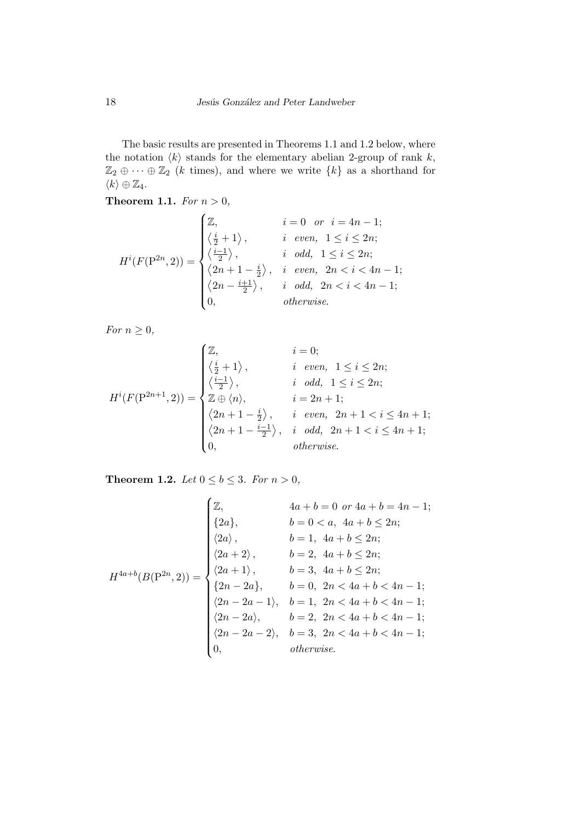The basic results are presented in Theorems 1.1 and 1.2 below, where the notation  $\langle k \rangle$  stands for the elementary abelian 2-group of rank  $k$ ,  $\mathbb{Z}_2 \oplus \cdots \oplus \mathbb{Z}_2$  (*k* times), and where we write  $\{k\}$  as a shorthand for  $\langle k \rangle \oplus \mathbb{Z}_4.$ 

**Theorem 1.1.** *For*  $n > 0$ *,* 

$$
H^{i}(F(\mathbf{P}^{2n},2)) = \begin{cases} \mathbb{Z}, & i = 0 \text{ or } i = 4n-1; \\ \left\langle \frac{i}{2} + 1 \right\rangle, & i \text{ even, } 1 \leq i \leq 2n; \\ \left\langle \frac{i-1}{2} \right\rangle, & i \text{ odd, } 1 \leq i \leq 2n; \\ \left\langle 2n + 1 - \frac{i}{2} \right\rangle, & i \text{ even, } 2n < i < 4n-1; \\ \left\langle 2n - \frac{i+1}{2} \right\rangle, & i \text{ odd, } 2n < i < 4n-1; \\ 0, & otherwise. \end{cases}
$$

*For*  $n \geq 0$ *,* 

$$
H^{i}(F(\mathbf{P}^{2n+1}, 2)) = \begin{cases} \mathbb{Z}, & i = 0; \\ \left\langle \frac{i}{2} + 1 \right\rangle, & i \text{ even}, 1 \leq i \leq 2n; \\ \left\langle \frac{i-1}{2} \right\rangle, & i \text{ odd}, 1 \leq i \leq 2n; \\ \mathbb{Z} \oplus \langle n \rangle, & i = 2n + 1; \\ \langle 2n + 1 - \frac{i}{2} \rangle, & i \text{ even}, 2n + 1 < i \leq 4n + 1; \\ \langle 2n + 1 - \frac{i-1}{2} \rangle, & i \text{ odd}, 2n + 1 < i \leq 4n + 1; \\ 0, & otherwise. \end{cases}
$$

**Theorem 1.2.** *Let*  $0 \le b \le 3$ *. For*  $n > 0$ *,* 

$$
H^{4a+b}(B(P^{2n}, 2)) = \begin{cases} \mathbb{Z}, & 4a+b=0 \text{ or } 4a+b=4n-1; \\ \{2a\}, & b=0 < a, 4a+b \leq 2n; \\ \langle 2a \rangle, & b=1, 4a+b \leq 2n; \\ \langle 2a+2 \rangle, & b=2, 4a+b \leq 2n; \\ \langle 2a+1 \rangle, & b=3, 4a+b \leq 2n; \\ \{2n-2a\}, & b=0, 2n < 4a+b < 4n-1; \\ \langle 2n-2a-1 \rangle, & b=1, 2n < 4a+b < 4n-1; \\ \langle 2n-2a \rangle, & b=2, 2n < 4a+b < 4n-1; \\ \langle 2n-2a-2 \rangle, & b=3, 2n < 4a+b < 4n-1; \\ 0, & otherwise. \end{cases}
$$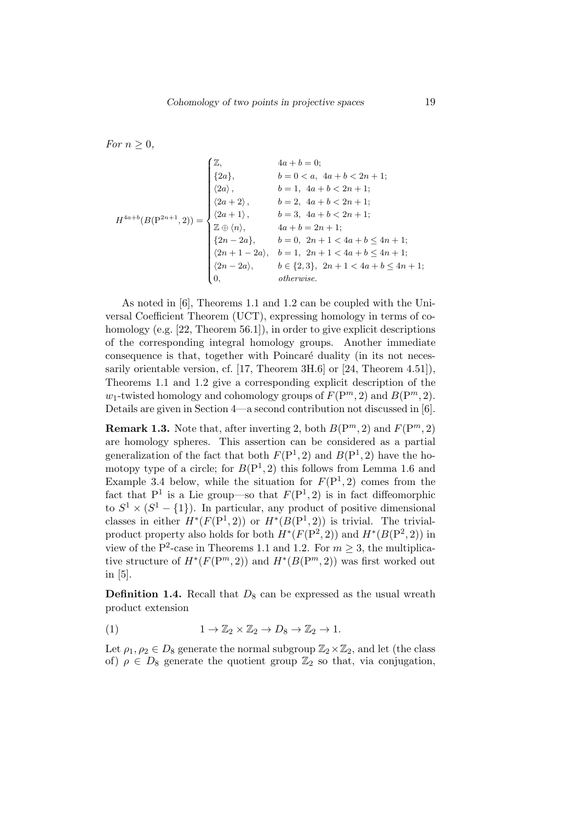*For*  $n \geq 0$ *,* 

$$
H^{4a+b}(B(\mathbf{P}^{2n+1}, 2)) = \begin{cases} \mathbb{Z}, & 4a+b=0; \\ \{2a\}, & b=0 < a, \ 4a+b < 2n+1; \\ \langle 2a \rangle, & b=1, \ 4a+b < 2n+1; \\ \langle 2a+2 \rangle, & b=2, \ 4a+b < 2n+1; \\ \langle 2a+1 \rangle, & b=3, \ 4a+b < 2n+1; \\ \mathbb{Z} \oplus \langle n \rangle, & 4a+b=2n+1; \\ \{2n-2a\}, & b=0, \ 2n+1 < 4a+b \le 4n+1; \\ \langle 2n+1-2a \rangle, & b=1, \ 2n+1 < 4a+b \le 4n+1; \\ \langle 2n-2a \rangle, & b \in \{2,3\}, \ 2n+1 < 4a+b \le 4n+1; \\ 0, & otherwise. \end{cases}
$$

As noted in [6], Theorems 1.1 and 1.2 can be coupled with the Universal Coefficient Theorem (UCT), expressing homology in terms of cohomology (e.g. [22, Theorem 56.1]), in order to give explicit descriptions of the corresponding integral homology groups. Another immediate consequence is that, together with Poincaré duality (in its not necessarily orientable version, cf. [17, Theorem 3H.6] or [24, Theorem 4.51]), Theorems 1.1 and 1.2 give a corresponding explicit description of the *w*<sub>1</sub>-twisted homology and cohomology groups of  $F(\mathbb{P}^m, 2)$  and  $B(\mathbb{P}^m, 2)$ . Details are given in Section 4—a second contribution not discussed in [6].

**Remark 1.3.** Note that, after inverting 2, both  $B(P^m, 2)$  and  $F(P^m, 2)$ are homology spheres. This assertion can be considered as a partial generalization of the fact that both  $F(P^1, 2)$  and  $B(P^1, 2)$  have the homotopy type of a circle; for  $B(P^1, 2)$  this follows from Lemma 1.6 and Example 3.4 below, while the situation for  $F(P^1, 2)$  comes from the fact that  $P^1$  is a Lie group—so that  $F(P^1, 2)$  is in fact diffeomorphic to  $S^1 \times (S^1 - \{1\})$ . In particular, any product of positive dimensional classes in either  $H^*(F(\mathbb{P}^1, 2))$  or  $H^*(B(\mathbb{P}^1, 2))$  is trivial. The trivialproduct property also holds for both  $H^*(F(P^2, 2))$  and  $H^*(B(P^2, 2))$  in view of the P<sup>2</sup>-case in Theorems 1.1 and 1.2. For  $m \geq 3$ , the multiplicative structure of  $H^*(F(\mathbb{P}^m, 2))$  and  $H^*(B(\mathbb{P}^m, 2))$  was first worked out in [5].

**Definition 1.4.** Recall that  $D_8$  can be expressed as the usual wreath product extension

(1) 
$$
1 \to \mathbb{Z}_2 \times \mathbb{Z}_2 \to D_8 \to \mathbb{Z}_2 \to 1.
$$

Let  $\rho_1, \rho_2 \in D_8$  generate the normal subgroup  $\mathbb{Z}_2 \times \mathbb{Z}_2$ , and let (the class of)  $\rho \in D_8$  generate the quotient group  $\mathbb{Z}_2$  so that, via conjugation,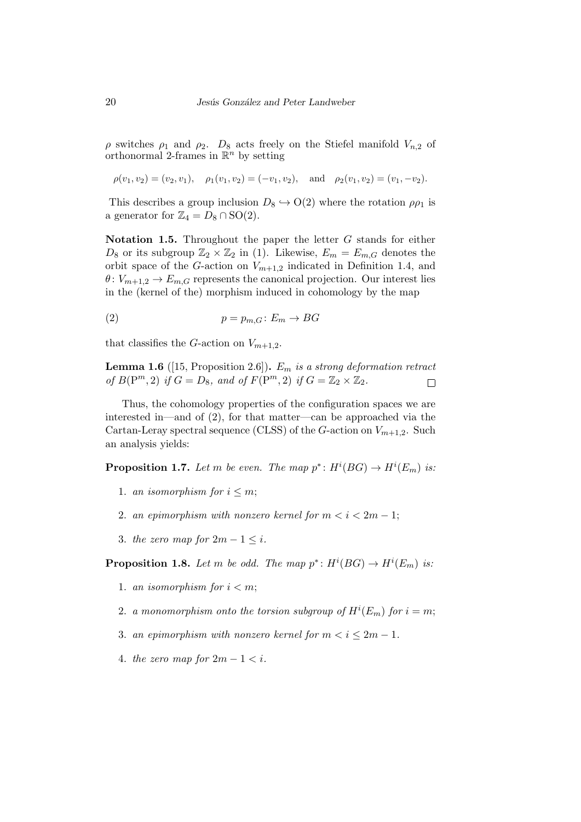*ρ* switches *ρ*<sup>1</sup> and *ρ*2. *D*<sup>8</sup> acts freely on the Stiefel manifold *Vn,*<sup>2</sup> of orthonormal 2-frames in  $\mathbb{R}^n$  by setting

$$
\rho(v_1, v_2) = (v_2, v_1), \quad \rho_1(v_1, v_2) = (-v_1, v_2), \quad \text{and} \quad \rho_2(v_1, v_2) = (v_1, -v_2).
$$

This describes a group inclusion  $D_8 \hookrightarrow O(2)$  where the rotation  $\rho \rho_1$  is a generator for  $\mathbb{Z}_4 = D_8 \cap SO(2)$ .

**Notation 1.5.** Throughout the paper the letter *G* stands for either  $D_8$  or its subgroup  $\mathbb{Z}_2 \times \mathbb{Z}_2$  in (1). Likewise,  $E_m = E_{m,G}$  denotes the orbit space of the *G*-action on  $V_{m+1,2}$  indicated in Definition 1.4, and  $\theta$ :  $V_{m+1,2} \rightarrow E_{m,G}$  represents the canonical projection. Our interest lies in the (kernel of the) morphism induced in cohomology by the map

$$
(2) \t\t\t p = p_{m,G}: E_m \to BG
$$

that classifies the *G*-action on  $V_{m+1,2}$ .

**Lemma 1.6** ([15, Proposition 2.6])**.** *E<sup>m</sup> is a strong deformation retract of*  $B(\mathbb{P}^m, 2)$  *if*  $G = D_8$ *, and of*  $F(\mathbb{P}^m, 2)$  *if*  $G = \mathbb{Z}_2 \times \mathbb{Z}_2$ *.*  $\Box$ 

Thus, the cohomology properties of the configuration spaces we are interested in—and of (2), for that matter—can be approached via the Cartan-Leray spectral sequence (CLSS) of the *G*-action on  $V_{m+1,2}$ . Such an analysis yields:

**Proposition 1.7.** *Let m be even. The map*  $p^*$ :  $H^i(BG) \to H^i(E_m)$  *is:* 

- 1. *an isomorphism for*  $i \leq m$ ;
- 2. *an epimorphism with nonzero kernel for*  $m < i < 2m 1$ ;
- 3. *the zero map for*  $2m 1 \leq i$ .

**Proposition 1.8.** *Let m be odd. The map*  $p^*: H^i(BG) \to H^i(E_m)$  *is:* 

- 1. *an isomorphism for*  $i < m$ ;
- 2. *a monomorphism onto the torsion subgroup of*  $H^i(E_m)$  *for*  $i = m$ ;
- 3. *an epimorphism with nonzero kernel for*  $m < i \leq 2m 1$ .
- 4. *the zero map for*  $2m 1 < i$ .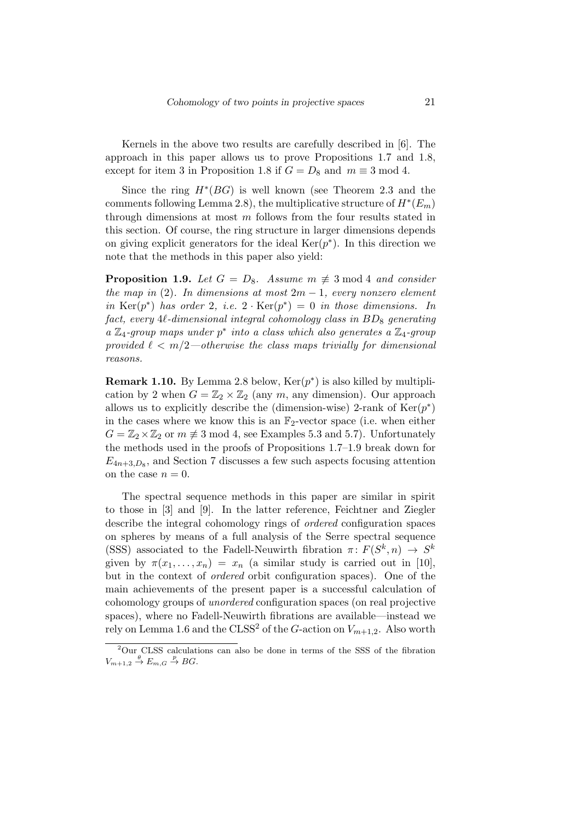Kernels in the above two results are carefully described in [6]. The approach in this paper allows us to prove Propositions 1.7 and 1.8, except for item 3 in Proposition 1.8 if  $G = D_8$  and  $m \equiv 3 \mod 4$ .

Since the ring  $H^*(BG)$  is well known (see Theorem 2.3 and the comments following Lemma 2.8), the multiplicative structure of  $H^*(E_m)$ through dimensions at most *m* follows from the four results stated in this section. Of course, the ring structure in larger dimensions depends on giving explicit generators for the ideal  $\text{Ker}(p^*)$ . In this direction we note that the methods in this paper also yield:

**Proposition 1.9.** *Let*  $G = D_8$ *. Assume*  $m \not\equiv 3 \mod 4$  *and consider the map in* (2)*. In dimensions at most*  $2m - 1$ *, every nonzero element in* Ker( $p^*$ ) *has order* 2*, i.e.* 2 *·* Ker( $p^*$ ) = 0 *in those dimensions.* In *fact, every* 4*`-dimensional integral cohomology class in BD*<sup>8</sup> *generating a* Z4*-group maps under p ∗ into a class which also generates a* Z4*-group provided*  $\ell < m/2$ —otherwise the class maps trivially for dimensional *reasons.*

**Remark 1.10.** By Lemma 2.8 below,  $\text{Ker}(p^*)$  is also killed by multiplication by 2 when  $G = \mathbb{Z}_2 \times \mathbb{Z}_2$  (any  $m$ , any dimension). Our approach allows us to explicitly describe the (dimension-wise) 2-rank of  $Ker(p^*)$ in the cases where we know this is an  $\mathbb{F}_2$ -vector space (i.e. when either  $G = \mathbb{Z}_2 \times \mathbb{Z}_2$  or  $m \neq 3 \mod 4$ , see Examples 5.3 and 5.7). Unfortunately the methods used in the proofs of Propositions 1.7–1.9 break down for  $E_{4n+3,D_8}$ , and Section 7 discusses a few such aspects focusing attention on the case  $n = 0$ .

The spectral sequence methods in this paper are similar in spirit to those in [3] and [9]. In the latter reference, Feichtner and Ziegler describe the integral cohomology rings of *ordered* configuration spaces on spheres by means of a full analysis of the Serre spectral sequence (SSS) associated to the Fadell-Neuwirth fibration  $\pi$ :  $F(S^k, n) \to S^k$ given by  $\pi(x_1, \ldots, x_n) = x_n$  (a similar study is carried out in [10], but in the context of *ordered* orbit configuration spaces). One of the main achievements of the present paper is a successful calculation of cohomology groups of *unordered* configuration spaces (on real projective spaces), where no Fadell-Neuwirth fibrations are available—instead we rely on Lemma 1.6 and the CLSS<sup>2</sup> of the *G*-action on  $V_{m+1,2}$ . Also worth

<sup>2</sup>Our CLSS calculations can also be done in terms of the SSS of the fibration  $V_{m+1,2} \stackrel{\theta}{\rightarrow} E_{m,G} \stackrel{p}{\rightarrow} BG.$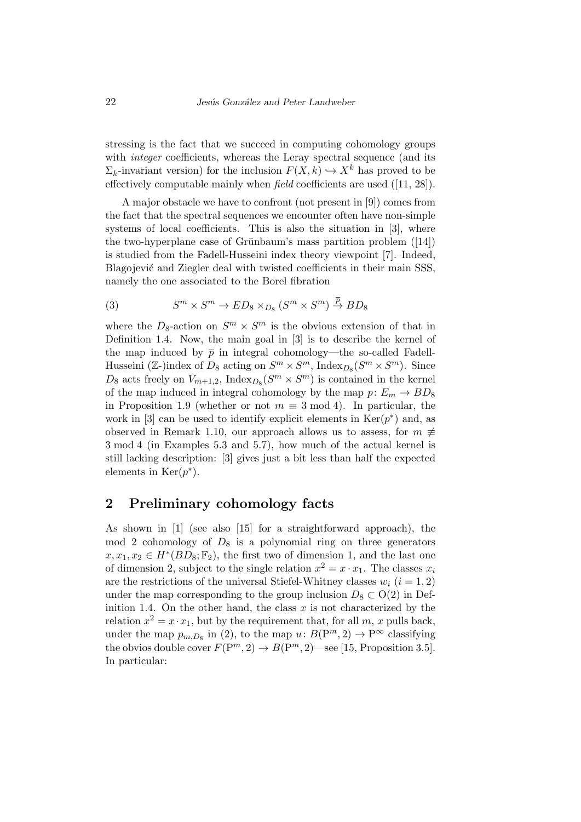stressing is the fact that we succeed in computing cohomology groups with *integer* coefficients, whereas the Leray spectral sequence (and its  $\Sigma_k$ -invariant version) for the inclusion  $F(X, k) \hookrightarrow X^k$  has proved to be effectively computable mainly when *field* coefficients are used ([11, 28]).

A major obstacle we have to confront (not present in [9]) comes from the fact that the spectral sequences we encounter often have non-simple systems of local coefficients. This is also the situation in [3], where the two-hyperplane case of Grünbaum's mass partition problem  $([14])$ is studied from the Fadell-Husseini index theory viewpoint [7]. Indeed, Blagojević and Ziegler deal with twisted coefficients in their main SSS, namely the one associated to the Borel fibration

(3) 
$$
S^m \times S^m \to ED_8 \times_{D_8} (S^m \times S^m) \stackrel{\overline{p}}{\rightarrow} BD_8
$$

where the  $D_8$ -action on  $S^m \times S^m$  is the obvious extension of that in Definition 1.4. Now, the main goal in [3] is to describe the kernel of the map induced by  $\bar{p}$  in integral cohomology—the so-called Fadell-Husseini ( $\mathbb{Z}$ -)index of  $D_8$  acting on  $S^m \times S^m$ , Index<sub> $D_8$ </sub>( $S^m \times S^m$ ). Since  $D_8$  acts freely on  $V_{m+1,2}$ , Index<sub> $D_8(S^m \times S^m)$  is contained in the kernel</sub> of the map induced in integral cohomology by the map  $p: E_m \to BD_8$ in Proposition 1.9 (whether or not  $m \equiv 3 \mod 4$ ). In particular, the work in [3] can be used to identify explicit elements in  $\text{Ker}(p^*)$  and, as observed in Remark 1.10, our approach allows us to assess, for  $m \neq$ 3 mod 4 (in Examples 5.3 and 5.7), how much of the actual kernel is still lacking description: [3] gives just a bit less than half the expected elements in  $\text{Ker}(p^*).$ 

#### **2 Preliminary cohomology facts**

As shown in [1] (see also [15] for a straightforward approach), the mod 2 cohomology of  $D_8$  is a polynomial ring on three generators  $x, x_1, x_2 \in H^*(BD_8; \mathbb{F}_2)$ , the first two of dimension 1, and the last one of dimension 2, subject to the single relation  $x^2 = x \cdot x_1$ . The classes  $x_i$ are the restrictions of the universal Stiefel-Whitney classes  $w_i$  ( $i = 1, 2$ ) under the map corresponding to the group inclusion  $D_8 \subset O(2)$  in Definition 1.4. On the other hand, the class  $x$  is not characterized by the relation  $x^2 = x \cdot x_1$ , but by the requirement that, for all *m*, *x* pulls back, under the map  $p_{m,D_8}$  in (2), to the map  $u: B(P^m, 2) \to P^\infty$  classifying the obvios double cover  $F(\mathbb{P}^m, 2) \to B(\mathbb{P}^m, 2)$ —see [15, Proposition 3.5]. In particular: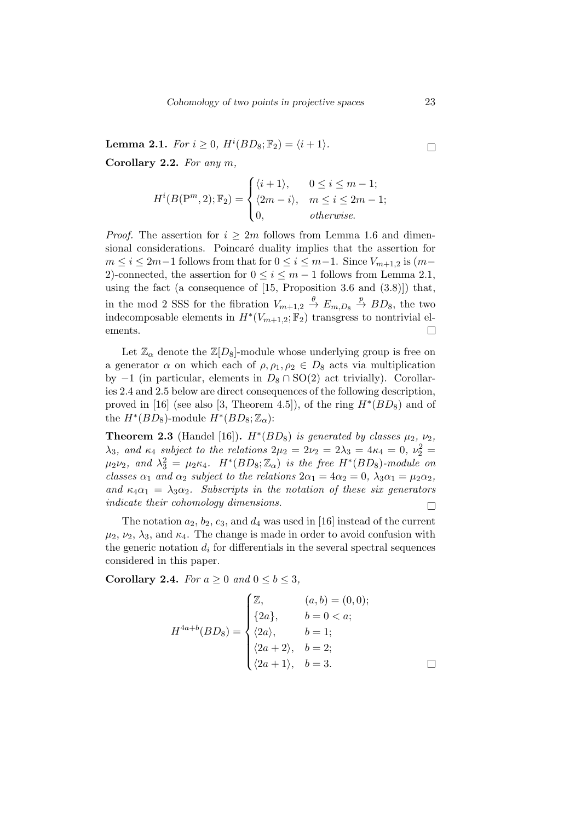**Lemma 2.1.** *For*  $i \geq 0$ ,  $H^{i}(BD_8; \mathbb{F}_2) = \langle i + 1 \rangle$ *.*  $\Box$ **Corollary 2.2.** *For any m,*

$$
H^{i}(B(\mathbf{P}^{m},2);\mathbb{F}_{2}) = \begin{cases} \langle i+1 \rangle, & 0 \leq i \leq m-1; \\ \langle 2m-i \rangle, & m \leq i \leq 2m-1; \\ 0, & otherwise. \end{cases}
$$

*Proof.* The assertion for  $i \geq 2m$  follows from Lemma 1.6 and dimensional considerations. Poincaré duality implies that the assertion for  $m \leq i \leq 2m-1$  follows from that for  $0 \leq i \leq m-1$ . Since  $V_{m+1,2}$  is  $(m-1)$ 2)-connected, the assertion for  $0 \le i \le m-1$  follows from Lemma 2.1, using the fact (a consequence of [15, Proposition 3.6 and (3.8)]) that, in the mod 2 SSS for the fibration  $V_{m+1,2} \stackrel{\theta}{\to} E_{m,D_8} \stackrel{p}{\to} BD_8$ , the two indecomposable elements in  $H^*(V_{m+1,2}; \mathbb{F}_2)$  transgress to nontrivial elements.  $\Box$ 

Let  $\mathbb{Z}_{\alpha}$  denote the  $\mathbb{Z}[D_8]$ -module whose underlying group is free on a generator  $\alpha$  on which each of  $\rho, \rho_1, \rho_2 \in D_8$  acts via multiplication by *−*1 (in particular, elements in *D*<sup>8</sup> *∩* SO(2) act trivially). Corollaries 2.4 and 2.5 below are direct consequences of the following description, proved in [16] (see also [3, Theorem 4.5]), of the ring  $H^*(BD_8)$  and of the  $H^*(BD_8)$ -module  $H^*(BD_8; \mathbb{Z}_\alpha)$ :

**Theorem 2.3** (Handel [16]).  $H^*(BD_8)$  *is generated by classes*  $\mu_2$ ,  $\nu_2$ *, λ*<sub>3</sub>*,* and *κ*<sub>4</sub> *subject to the relations*  $2μ_2 = 2ν_2 = 2λ_3 = 4κ_4 = 0$ ,  $ν_2^2 =$  $\mu_2 \nu_2$ , and  $\lambda_3^2 = \mu_2 \kappa_4$ .  $H^*(BD_8; \mathbb{Z}_\alpha)$  *is the free*  $H^*(BD_8)$ *-module on classes*  $\alpha_1$  *and*  $\alpha_2$  *subject to the relations*  $2\alpha_1 = 4\alpha_2 = 0$ ,  $\lambda_3 \alpha_1 = \mu_2 \alpha_2$ , *and*  $\kappa_4 \alpha_1 = \lambda_3 \alpha_2$ . Subscripts in the notation of these six generators *indicate their cohomology dimensions.*  $\Box$ 

The notation  $a_2$ ,  $b_2$ ,  $c_3$ , and  $d_4$  was used in [16] instead of the current  $\mu_2$ ,  $\nu_2$ ,  $\lambda_3$ , and  $\kappa_4$ . The change is made in order to avoid confusion with the generic notation  $d_i$  for differentials in the several spectral sequences considered in this paper.

**Corollary 2.4.** *For*  $a \geq 0$  *and*  $0 \leq b \leq 3$ *,* 

$$
H^{4a+b}(BD_8) = \begin{cases} \mathbb{Z}, & (a,b) = (0,0); \\ \{2a\}, & b = 0 < a; \\ \langle 2a \rangle, & b = 1; \\ \langle 2a + 2 \rangle, & b = 2; \\ \langle 2a + 1 \rangle, & b = 3. \end{cases}
$$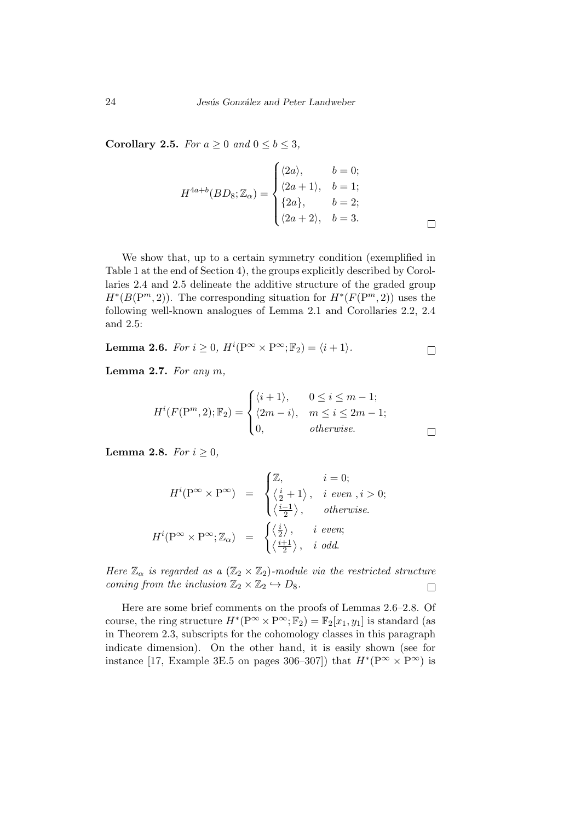**Corollary 2.5.** *For*  $a \geq 0$  *and*  $0 \leq b \leq 3$ *,* 

$$
H^{4a+b}(BD_8; \mathbb{Z}_{\alpha}) = \begin{cases} \langle 2a \rangle, & b = 0; \\ \langle 2a+1 \rangle, & b = 1; \\ \{2a\}, & b = 2; \\ \langle 2a+2 \rangle, & b = 3. \end{cases}
$$

We show that, up to a certain symmetry condition (exemplified in Table 1 at the end of Section 4), the groups explicitly described by Corollaries 2.4 and 2.5 delineate the additive structure of the graded group  $H^*(B(\mathbb{P}^m, 2))$ . The corresponding situation for  $H^*(F(\mathbb{P}^m, 2))$  uses the following well-known analogues of Lemma 2.1 and Corollaries 2.2, 2.4 and 2.5:

**Lemma 2.6.** For 
$$
i \ge 0
$$
,  $H^i(\mathbb{P}^\infty \times \mathbb{P}^\infty; \mathbb{F}_2) = \langle i + 1 \rangle$ .

**Lemma 2.7.** *For any m,*

$$
H^{i}(F(\mathbb{P}^{m},2);\mathbb{F}_{2}) = \begin{cases} \langle i+1 \rangle, & 0 \leq i \leq m-1; \\ \langle 2m-i \rangle, & m \leq i \leq 2m-1; \\ 0, & \text{otherwise.} \end{cases}
$$

**Lemma 2.8.** *For*  $i \geq 0$ *,* 

$$
H^{i}(\mathbf{P}^{\infty} \times \mathbf{P}^{\infty}) = \begin{cases} \mathbb{Z}, & i = 0; \\ \left\langle \frac{i}{2} + 1 \right\rangle, & i \text{ even }, i > 0; \\ \left\langle \frac{i-1}{2} \right\rangle, & otherwise. \end{cases}
$$

$$
H^{i}(\mathbf{P}^{\infty} \times \mathbf{P}^{\infty}; \mathbb{Z}_{\alpha}) = \begin{cases} \left\langle \frac{i}{2} \right\rangle, & i \text{ even}; \\ \left\langle \frac{i+1}{2} \right\rangle, & i \text{ odd}. \end{cases}
$$

*Here*  $\mathbb{Z}_{\alpha}$  *is regarded as a*  $(\mathbb{Z}_{2} \times \mathbb{Z}_{2})$ *-module via the restricted structure coming from the inclusion*  $\mathbb{Z}_2 \times \mathbb{Z}_2 \hookrightarrow D_8$ *.*  $\Box$ 

Here are some brief comments on the proofs of Lemmas 2.6–2.8. Of course, the ring structure  $H^*(P^\infty \times P^\infty; \mathbb{F}_2) = \mathbb{F}_2[x_1, y_1]$  is standard (as in Theorem 2.3, subscripts for the cohomology classes in this paragraph indicate dimension). On the other hand, it is easily shown (see for instance [17, Example 3E.5 on pages 306–307]) that  $H^*(P^\infty \times P^\infty)$  is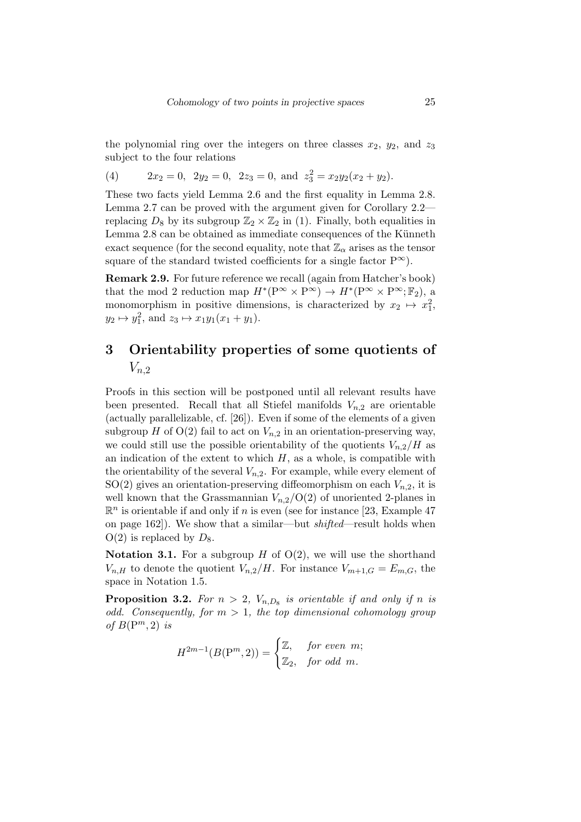the polynomial ring over the integers on three classes  $x_2$ ,  $y_2$ , and  $z_3$ subject to the four relations

(4) 
$$
2x_2 = 0
$$
,  $2y_2 = 0$ ,  $2z_3 = 0$ , and  $z_3^2 = x_2y_2(x_2 + y_2)$ .

These two facts yield Lemma 2.6 and the first equality in Lemma 2.8. Lemma 2.7 can be proved with the argument given for Corollary 2.2 replacing  $D_8$  by its subgroup  $\mathbb{Z}_2 \times \mathbb{Z}_2$  in (1). Finally, both equalities in Lemma 2.8 can be obtained as immediate consequences of the Künneth exact sequence (for the second equality, note that  $\mathbb{Z}_{\alpha}$  arises as the tensor square of the standard twisted coefficients for a single factor  $P^{\infty}$ ).

**Remark 2.9.** For future reference we recall (again from Hatcher's book) that the mod 2 reduction map  $H^*(P^\infty \times P^\infty) \to H^*(P^\infty \times P^\infty; \mathbb{F}_2)$ , a monomorphism in positive dimensions, is characterized by  $x_2 \mapsto x_1^2$ ,  $y_2 \mapsto y_1^2$ , and  $z_3 \mapsto x_1y_1(x_1 + y_1)$ .

## **3 Orientability properties of some quotients of** *Vn,*<sup>2</sup>

Proofs in this section will be postponed until all relevant results have been presented. Recall that all Stiefel manifolds  $V_{n,2}$  are orientable (actually parallelizable, cf. [26]). Even if some of the elements of a given subgroup *H* of  $O(2)$  fail to act on  $V_{n,2}$  in an orientation-preserving way, we could still use the possible orientability of the quotients  $V_{n,2}/H$  as an indication of the extent to which  $H$ , as a whole, is compatible with the orientability of the several  $V_{n,2}$ . For example, while every element of  $SO(2)$  gives an orientation-preserving diffeomorphism on each  $V_{n,2}$ , it is well known that the Grassmannian  $V_{n,2}/O(2)$  of unoriented 2-planes in  $\mathbb{R}^n$  is orientable if and only if *n* is even (see for instance [23, Example 47] on page 162]). We show that a similar—but *shifted*—result holds when  $O(2)$  is replaced by  $D_8$ .

**Notation 3.1.** For a subgroup *H* of  $O(2)$ , we will use the shorthand  $V_{n,H}$  to denote the quotient  $V_{n,2}/H$ . For instance  $V_{m+1,G} = E_{m,G}$ , the space in Notation 1.5.

**Proposition 3.2.** For  $n > 2$ ,  $V_{n,D_8}$  is orientable if and only if n is *odd. Consequently, for m >* 1*, the top dimensional cohomology group of*  $B(P^m, 2)$  *is* 

$$
H^{2m-1}(B(\mathrm{P}^m,2))=\begin{cases}\mathbb{Z},&\text{for even}\;\; m;\\\mathbb{Z}_2,&\text{for odd}\;\; m.\end{cases}
$$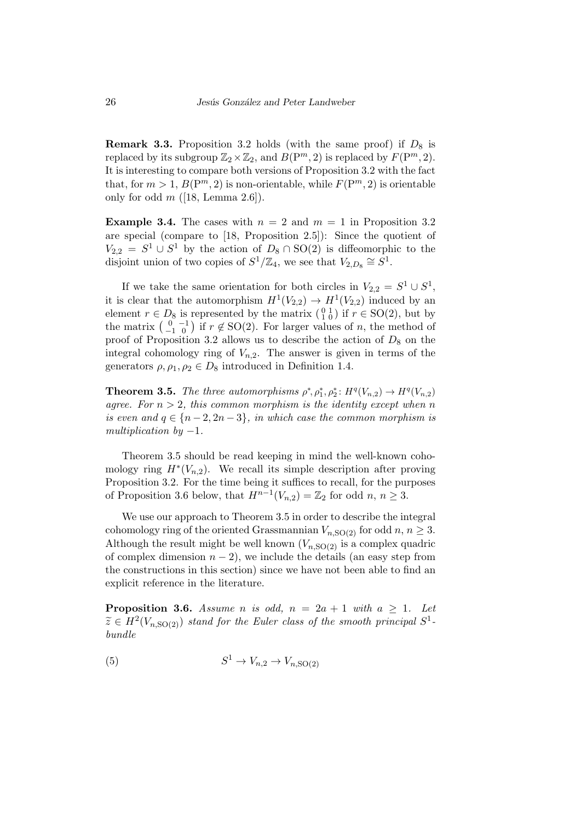**Remark 3.3.** Proposition 3.2 holds (with the same proof) if  $D_8$  is replaced by its subgroup  $\mathbb{Z}_2 \times \mathbb{Z}_2$ , and  $B(\mathbb{P}^m, 2)$  is replaced by  $F(\mathbb{P}^m, 2)$ . It is interesting to compare both versions of Proposition 3.2 with the fact that, for  $m > 1$ ,  $B(P^m, 2)$  is non-orientable, while  $F(P^m, 2)$  is orientable only for odd *m* ([18, Lemma 2.6]).

**Example 3.4.** The cases with  $n = 2$  and  $m = 1$  in Proposition 3.2 are special (compare to [18, Proposition 2.5]): Since the quotient of  $V_{2,2} = S^1 \cup S^1$  by the action of  $D_8 \cap SO(2)$  is diffeomorphic to the disjoint union of two copies of  $S^1/\mathbb{Z}_4$ , we see that  $V_{2,D_8} \cong S^1$ .

If we take the same orientation for both circles in  $V_{2,2} = S^1 \cup S^1$ , it is clear that the automorphism  $H^1(V_{2,2}) \to H^1(V_{2,2})$  induced by an element  $r \in D_8$  is represented by the matrix  $\begin{pmatrix} 0 & 1 \\ 1 & 0 \end{pmatrix}$  if  $r \in SO(2)$ , but by the matrix  $\begin{pmatrix} 0 & -1 \\ -1 & 0 \end{pmatrix}$  if  $r \notin SO(2)$ . For larger values of *n*, the method of proof of Proposition 3.2 allows us to describe the action of  $D_8$  on the integral cohomology ring of  $V_{n,2}$ . The answer is given in terms of the generators  $\rho, \rho_1, \rho_2 \in D_8$  introduced in Definition 1.4.

**Theorem 3.5.** *The three automorphisms*  $\rho^*, \rho_1^*, \rho_2^*: H^q(V_{n,2}) \to H^q(V_{n,2})$ *agree.* For  $n > 2$ , this common morphism is the identity except when n *is even and*  $q \in \{n-2, 2n-3\}$ *, in which case the common morphism is multiplication by −*1*.*

Theorem 3.5 should be read keeping in mind the well-known cohomology ring  $H^*(V_{n,2})$ . We recall its simple description after proving Proposition 3.2. For the time being it suffices to recall, for the purposes of Proposition 3.6 below, that  $H^{n-1}(V_{n,2}) = \mathbb{Z}_2$  for odd  $n, n \geq 3$ .

We use our approach to Theorem 3.5 in order to describe the integral cohomology ring of the oriented Grassmannian  $V_{n,\text{SO(2)}}$  for odd  $n, n \geq 3$ . Although the result might be well known  $(V_{n,SO(2)})$  is a complex quadric of complex dimension  $n-2$ ), we include the details (an easy step from the constructions in this section) since we have not been able to find an explicit reference in the literature.

**Proposition 3.6.** *Assume n is odd,*  $n = 2a + 1$  *with*  $a \ge 1$ *. Let*  $\widetilde{z} \in H^2(V_{n, \text{SO}(2)})$  *stand for the Euler class of the smooth principal*  $S^1$ . *bundle*

$$
(5) \t S1 \to Vn,2 \to Vn,SO(2)
$$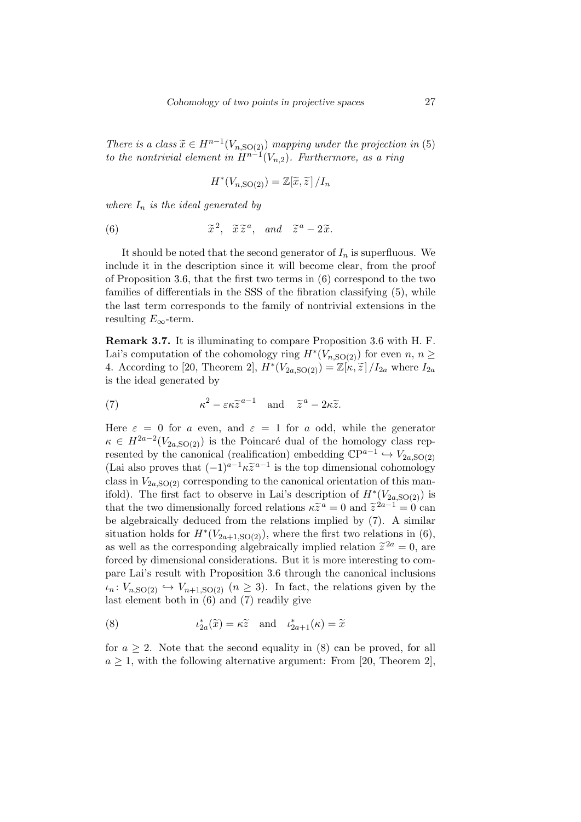*There is a class*  $\widetilde{x} \in H^{n-1}(V_{n, \text{SO}(2)})$  *mapping under the projection in* (5) *to the nontrivial element in*  $H^{n-1}(V_{n,2})$ *. Furthermore, as a ring* 

$$
H^*(V_{n,\mathrm{SO}(2)}) = \mathbb{Z}[\widetilde{x}, \widetilde{z}]/I_n
$$

*where I<sup>n</sup> is the ideal generated by*

(6) 
$$
\widetilde{x}^2
$$
,  $\widetilde{x}\widetilde{z}^a$ , and  $\widetilde{z}^a - 2\widetilde{x}$ .

It should be noted that the second generator of  $I_n$  is superfluous. We include it in the description since it will become clear, from the proof of Proposition 3.6, that the first two terms in (6) correspond to the two families of differentials in the SSS of the fibration classifying (5), while the last term corresponds to the family of nontrivial extensions in the resulting  $E_{\infty}$ -term.

**Remark 3.7.** It is illuminating to compare Proposition 3.6 with H. F. Lai's computation of the cohomology ring  $H^*(V_{n, \text{SO}(2)})$  for even  $n, n \geq 0$ 4. According to [20, Theorem 2],  $H^*(V_{2a,\text{SO}(2)}) = \mathbb{Z}[\kappa,\tilde{z}]/I_{2a}$  where  $I_{2a}$ is the ideal generated by

(7) 
$$
\kappa^2 - \varepsilon \kappa \widetilde{z}^{a-1} \quad \text{and} \quad \widetilde{z}^a - 2\kappa \widetilde{z}.
$$

Here  $\varepsilon = 0$  for *a* even, and  $\varepsilon = 1$  for *a* odd, while the generator  $\kappa \in H^{2a-2}(V_{2a,SO(2)})$  is the Poincaré dual of the homology class represented by the canonical (realification) embedding  $\mathbb{C}P^{a-1} \hookrightarrow V_{2a,SO(2)}$ (Lai also proves that  $(-1)^{a-1}k\tilde{z}^{a-1}$  is the top dimensional cohomology class in  $V_{2a,\text{SO}(2)}$  corresponding to the canonical orientation of this manifold). The first fact to observe in Lai's description of  $H^*(V_{2a,SO(2)})$  is that the two dimensionally forced relations  $\kappa \tilde{z}^a = 0$  and  $\tilde{z}^{2a-1} = 0$  can be algebraically deduced from the relations implied by (7). A similar situation holds for  $H^*(V_{2a+1,SO(2)})$ , where the first two relations in (6), as well as the corresponding algebraically implied relation  $\tilde{z}^{2a} = 0$ , are forced by dimensional considerations. But it is more interesting to compare Lai's result with Proposition 3.6 through the canonical inclusions  $\nu_n: V_{n,\text{SO(2)}} \hookrightarrow V_{n+1,\text{SO(2)}}$  ( $n \geq 3$ ). In fact, the relations given by the last element both in (6) and (7) readily give

(8) 
$$
\iota_{2a}^*(\widetilde{x}) = \kappa \widetilde{z} \text{ and } \iota_{2a+1}^*(\kappa) = \widetilde{x}
$$

for  $a \geq 2$ . Note that the second equality in (8) can be proved, for all  $a \geq 1$ , with the following alternative argument: From [20, Theorem 2],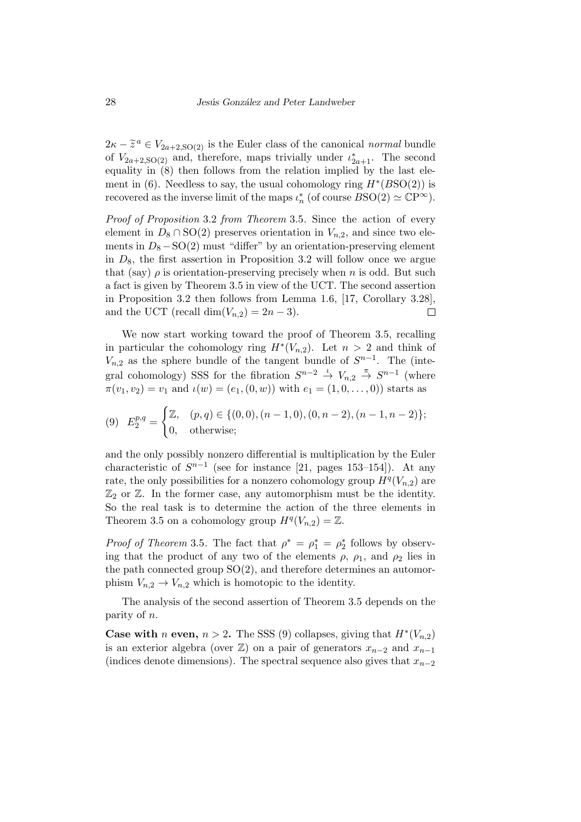$2\kappa - \tilde{z}^a \in V_{2a+2,SO(2)}$  is the Euler class of the canonical *normal* bundle of  $V_{2a+2,SO(2)}$  and, therefore, maps trivially under  $\iota_{2a+1}^*$ . The second equality in (8) then follows from the relation implied by the last element in (6). Needless to say, the usual cohomology ring  $H^*(BSO(2))$  is recovered as the inverse limit of the maps  $\iota_n^*$  (of course  $BSO(2) \simeq \mathbb{C}P^{\infty}$ ).

*Proof of Proposition* 3.2 *from Theorem* 3.5*.* Since the action of every element in  $D_8 \cap SO(2)$  preserves orientation in  $V_{n,2}$ , and since two elements in  $D_8 - SO(2)$  must "differ" by an orientation-preserving element in *D*8, the first assertion in Proposition 3.2 will follow once we argue that (say)  $\rho$  is orientation-preserving precisely when *n* is odd. But such a fact is given by Theorem 3.5 in view of the UCT. The second assertion in Proposition 3.2 then follows from Lemma 1.6, [17, Corollary 3.28], and the UCT (recall dim $(V_{n,2}) = 2n-3$ ).  $\Box$ 

We now start working toward the proof of Theorem 3.5, recalling in particular the cohomology ring  $H^*(V_{n,2})$ . Let  $n > 2$  and think of  $V_{n,2}$  as the sphere bundle of the tangent bundle of  $S^{n-1}$ . The (integral cohomology) SSS for the fibration  $S^{n-2} \stackrel{\iota}{\to} V_{n,2} \stackrel{\pi}{\to} S^{n-1}$  (where  $\pi(v_1, v_2) = v_1$  and  $\iota(w) = (e_1, (0, w))$  with  $e_1 = (1, 0, \ldots, 0)$  starts as

$$
(9) \quad E_2^{p,q} = \begin{cases} \mathbb{Z}, & (p,q) \in \{ (0,0), (n-1,0), (0,n-2), (n-1,n-2) \}; \\ 0, & \text{otherwise}; \end{cases}
$$

and the only possibly nonzero differential is multiplication by the Euler characteristic of  $S^{n-1}$  (see for instance [21, pages 153–154]). At any rate, the only possibilities for a nonzero cohomology group  $H^q(V_{n,2})$  are  $\mathbb{Z}_2$  or  $\mathbb{Z}$ . In the former case, any automorphism must be the identity. So the real task is to determine the action of the three elements in Theorem 3.5 on a cohomology group  $H^q(V_{n,2}) = \mathbb{Z}$ .

*Proof of Theorem* 3.5. The fact that  $\rho^* = \rho_1^* = \rho_2^*$  follows by observing that the product of any two of the elements  $\rho$ ,  $\rho_1$ , and  $\rho_2$  lies in the path connected group  $SO(2)$ , and therefore determines an automorphism  $V_{n,2} \to V_{n,2}$  which is homotopic to the identity.

The analysis of the second assertion of Theorem 3.5 depends on the parity of *n*.

**Case with** *n* **even,**  $n > 2$ . The SSS (9) collapses, giving that  $H^*(V_{n,2})$ is an exterior algebra (over  $\mathbb{Z}$ ) on a pair of generators  $x_{n-2}$  and  $x_{n-1}$ (indices denote dimensions). The spectral sequence also gives that *xn−*<sup>2</sup>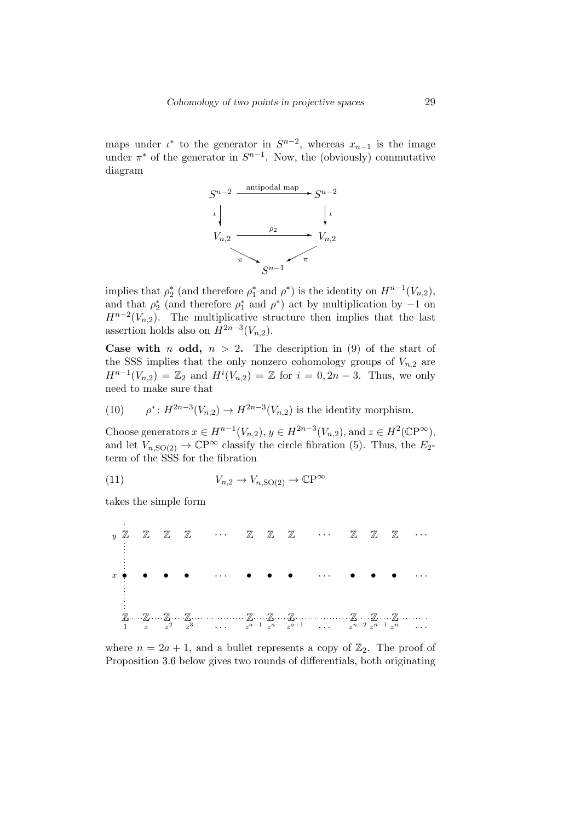maps under  $\iota^*$  to the generator in  $S^{n-2}$ , whereas  $x_{n-1}$  is the image under  $\pi^*$  of the generator in  $S^{n-1}$ . Now, the (obviously) commutative diagram



implies that  $\rho_2^*$  (and therefore  $\rho_1^*$  and  $\rho^*$ ) is the identity on  $H^{n-1}(V_{n,2})$ , and that  $\rho_2^*$  (and therefore  $\rho_1^*$  and  $\rho^*$ ) act by multiplication by *−*1 on  $H^{n-2}(V_{n,2})$ . The multiplicative structure then implies that the last assertion holds also on  $H^{2n-3}(V_{n,2})$ .

**Case with** *n* **odd,**  $n > 2$ . The description in (9) of the start of the SSS implies that the only nonzero cohomology groups of  $V_{n,2}$  are  $H^{n-1}(V_{n,2}) = \mathbb{Z}_2$  and  $H^i(V_{n,2}) = \mathbb{Z}$  for  $i = 0, 2n - 3$ . Thus, we only need to make sure that

(10) 
$$
\rho^*: H^{2n-3}(V_{n,2}) \to H^{2n-3}(V_{n,2})
$$
 is the identity morphism.

Choose generators  $x \in H^{n-1}(V_{n,2}), y \in H^{2n-3}(V_{n,2}),$  and  $z \in H^2(\mathbb{C}P^{\infty}),$ and let  $V_{n,\text{SO}(2)} \to \mathbb{C}\mathrm{P}^{\infty}$  classify the circle fibration (5). Thus, the  $E_2$ term of the SSS for the fibration

(11) 
$$
V_{n,2} \to V_{n,\text{SO}(2)} \to \mathbb{C}\mathrm{P}^{\infty}
$$

takes the simple form

 $\mathbb{Z} \longrightarrow \mathbb{Z} \longrightarrow \mathbb{Z} \longrightarrow \mathbb{Z} \longrightarrow \mathbb{Z} \longrightarrow \mathbb{Z} \longrightarrow \mathbb{Z} \longrightarrow \mathbb{Z} \longrightarrow \mathbb{Z} \longrightarrow \mathbb{Z} \longrightarrow \mathbb{Z} \longrightarrow \mathbb{Z} \longrightarrow \mathbb{Z} \longrightarrow \mathbb{Z} \longrightarrow \mathbb{Z} \longrightarrow \mathbb{Z} \longrightarrow \mathbb{Z} \longrightarrow \mathbb{Z} \longrightarrow \mathbb{Z} \longrightarrow \mathbb{Z} \longrightarrow \mathbb{Z} \longrightarrow \mathbb{Z} \longrightarrow \mathbb{Z} \longrightarrow \mathbb{Z} \longrightarrow \mathbb{Z} \longrightarrow \mathbb{Z} \longrightarrow \mathbb{Z} \longrightarrow \mathbb{$ *• • • • • • • • • •* Z Z Z Z Z Z Z Z Z Z *. . . . . . . . . . . . . . . . . . x*  $y \nightharpoonup z$ 

where  $n = 2a + 1$ , and a bullet represents a copy of  $\mathbb{Z}_2$ . The proof of Proposition 3.6 below gives two rounds of differentials, both originating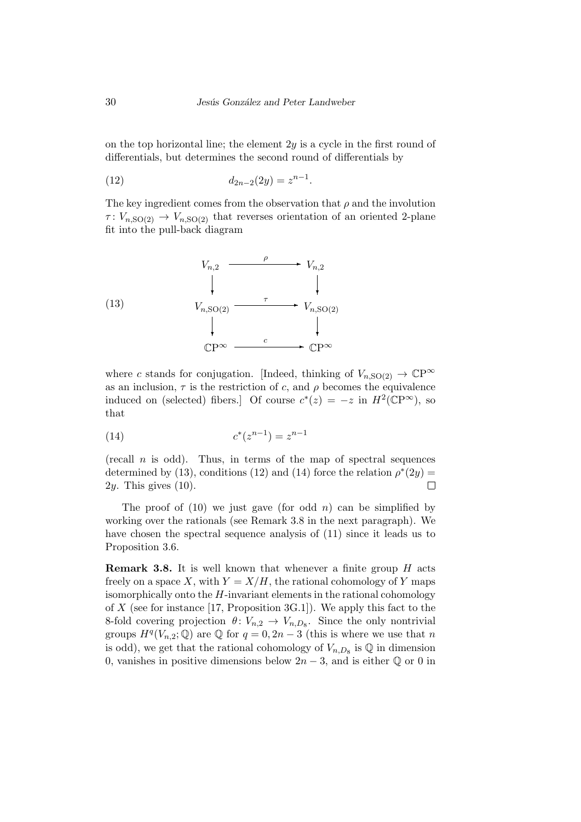on the top horizontal line; the element 2*y* is a cycle in the first round of differentials, but determines the second round of differentials by

(12) 
$$
d_{2n-2}(2y) = z^{n-1}.
$$

The key ingredient comes from the observation that  $\rho$  and the involution  $\tau: V_{n,\text{SO}(2)} \to V_{n,\text{SO}(2)}$  that reverses orientation of an oriented 2-plane fit into the pull-back diagram

(13)  
\n
$$
V_{n,2} \xrightarrow{\rho} V_{n,2}
$$
\n
$$
V_{n,\text{SO}(2)} \xrightarrow{\tau} V_{n,\text{SO}(2)}
$$
\n
$$
\downarrow \qquad \qquad V_{n,\text{SO}(2)}
$$
\n
$$
\downarrow \qquad \qquad \downarrow
$$
\n
$$
\text{CP}^{\infty} \xrightarrow{c} \text{CP}^{\infty}
$$

where *c* stands for conjugation. [Indeed, thinking of  $V_{n,\text{SO(2)}} \to \mathbb{C}\mathrm{P}^{\infty}$ as an inclusion,  $\tau$  is the restriction of *c*, and  $\rho$  becomes the equivalence induced on (selected) fibers.] Of course  $c^*(z) = -z$  in  $H^2(\mathbb{C}P^{\infty})$ , so that

(14) 
$$
c^*(z^{n-1}) = z^{n-1}
$$

(recall *n* is odd). Thus, in terms of the map of spectral sequences determined by (13), conditions (12) and (14) force the relation  $\rho^*(2y)$  = 2*y*. This gives (10).  $\Box$ 

The proof of (10) we just gave (for odd *n*) can be simplified by working over the rationals (see Remark 3.8 in the next paragraph). We have chosen the spectral sequence analysis of (11) since it leads us to Proposition 3.6.

**Remark 3.8.** It is well known that whenever a finite group *H* acts freely on a space X, with  $Y = X/H$ , the rational cohomology of Y maps isomorphically onto the *H*-invariant elements in the rational cohomology of *X* (see for instance [17, Proposition 3G.1]). We apply this fact to the 8-fold covering projection  $\theta: V_{n,2} \to V_{n,D_8}$ . Since the only nontrivial groups  $H^q(V_{n,2}; \mathbb{Q})$  are  $\mathbb{Q}$  for  $q = 0, 2n - 3$  (this is where we use that *n* is odd), we get that the rational cohomology of  $V_{n,D_8}$  is  $\mathbb Q$  in dimension 0, vanishes in positive dimensions below  $2n-3$ , and is either  $\mathbb{Q}$  or 0 in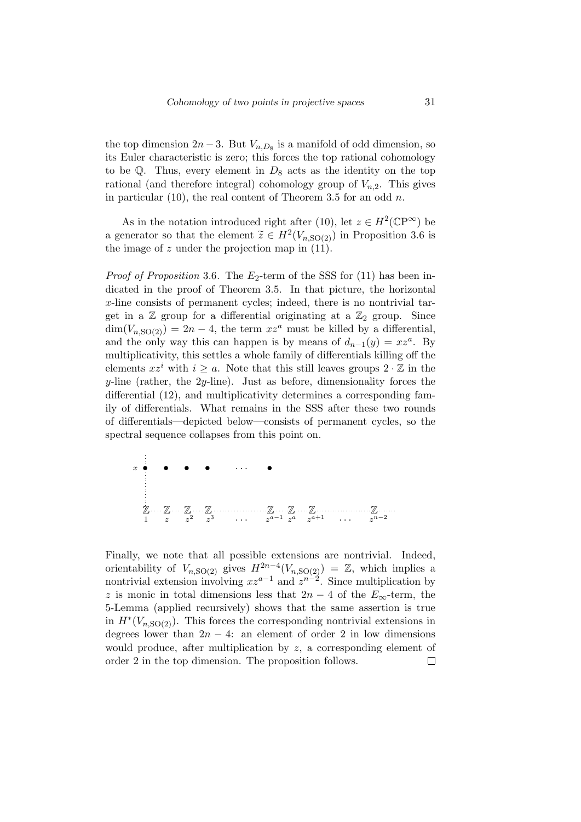the top dimension  $2n-3$ . But  $V_{n,D_8}$  is a manifold of odd dimension, so its Euler characteristic is zero; this forces the top rational cohomology to be  $Q$ . Thus, every element in  $D_8$  acts as the identity on the top rational (and therefore integral) cohomology group of  $V_{n,2}$ . This gives in particular (10), the real content of Theorem 3.5 for an odd *n*.

As in the notation introduced right after (10), let  $z \in H^2(\mathbb{C}P^{\infty})$  be a generator so that the element  $\tilde{z} \in H^2(V_{n, SO(2)})$  in Proposition 3.6 is the image of  $z$  under the projection map in  $(11)$ .

*Proof of Proposition* 3.6. The  $E_2$ -term of the SSS for (11) has been indicated in the proof of Theorem 3.5. In that picture, the horizontal *x*-line consists of permanent cycles; indeed, there is no nontrivial target in a  $\mathbb Z$  group for a differential originating at a  $\mathbb Z_2$  group. Since  $\dim(V_{n,\text{SO(2)}}) = 2n-4$ , the term  $xz^a$  must be killed by a differential, and the only way this can happen is by means of  $d_{n-1}(y) = xz^a$ . By multiplicativity, this settles a whole family of differentials killing off the elements  $xz^i$  with  $i \geq a$ . Note that this still leaves groups  $2 \cdot \mathbb{Z}$  in the *y*-line (rather, the 2*y*-line). Just as before, dimensionality forces the differential (12), and multiplicativity determines a corresponding family of differentials. What remains in the SSS after these two rounds of differentials—depicted below—consists of permanent cycles, so the spectral sequence collapses from this point on.



Finally, we note that all possible extensions are nontrivial. Indeed, orientability of  $V_{n, SO(2)}$  gives  $H^{2n-4}(V_{n, SO(2)}) = \mathbb{Z}$ , which implies a nontrivial extension involving  $xz^{a-1}$  and  $z^{n-2}$ . Since multiplication by *z* is monic in total dimensions less that  $2n - 4$  of the  $E_\infty$ -term, the 5-Lemma (applied recursively) shows that the same assertion is true in  $H^*(V_{n,\text{SO}(2)})$ . This forces the corresponding nontrivial extensions in degrees lower than  $2n - 4$ : an element of order 2 in low dimensions would produce, after multiplication by *z*, a corresponding element of order 2 in the top dimension. The proposition follows. $\Box$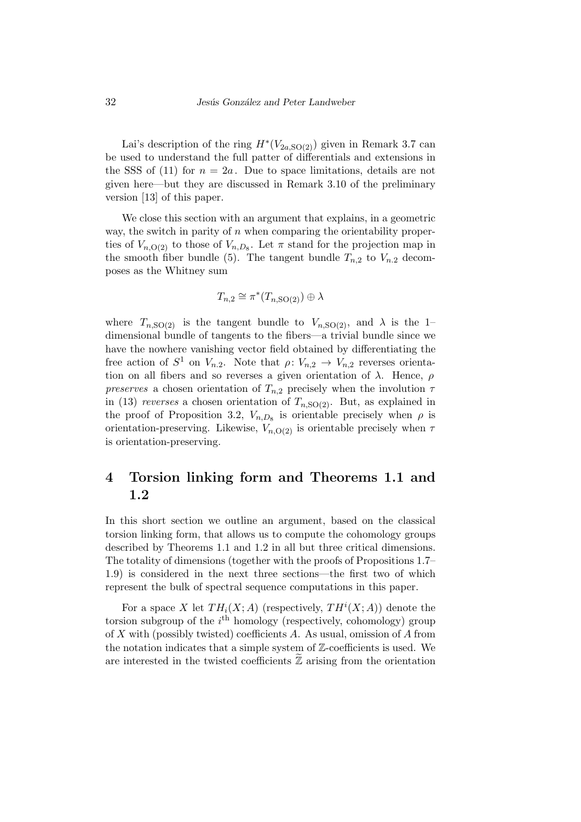Lai's description of the ring  $H^*(V_{2a,\text{SO}(2)})$  given in Remark 3.7 can be used to understand the full patter of differentials and extensions in the SSS of (11) for  $n = 2a$ . Due to space limitations, details are not given here—but they are discussed in Remark 3.10 of the preliminary version [13] of this paper.

We close this section with an argument that explains, in a geometric way, the switch in parity of *n* when comparing the orientability properties of  $V_{n, O(2)}$  to those of  $V_{n, D_8}$ . Let  $\pi$  stand for the projection map in the smooth fiber bundle (5). The tangent bundle  $T_{n,2}$  to  $V_{n,2}$  decomposes as the Whitney sum

$$
T_{n,2} \cong \pi^*(T_{n,\mathrm{SO}(2)}) \oplus \lambda
$$

where  $T_{n,SO(2)}$  is the tangent bundle to  $V_{n,SO(2)}$ , and  $\lambda$  is the 1dimensional bundle of tangents to the fibers—a trivial bundle since we have the nowhere vanishing vector field obtained by differentiating the free action of  $S^1$  on  $V_{n,2}$ . Note that  $\rho: V_{n,2} \to V_{n,2}$  reverses orientation on all fibers and so reverses a given orientation of  $\lambda$ . Hence,  $\rho$ *preserves* a chosen orientation of  $T_{n,2}$  precisely when the involution  $\tau$ in (13) *reverses* a chosen orientation of  $T_{n,SO(2)}$ . But, as explained in the proof of Proposition 3.2,  $V_{n,D_8}$  is orientable precisely when  $\rho$  is orientation-preserving. Likewise,  $V_{n, O(2)}$  is orientable precisely when  $\tau$ is orientation-preserving.

### **4 Torsion linking form and Theorems 1.1 and 1.2**

In this short section we outline an argument, based on the classical torsion linking form, that allows us to compute the cohomology groups described by Theorems 1.1 and 1.2 in all but three critical dimensions. The totality of dimensions (together with the proofs of Propositions 1.7– 1.9) is considered in the next three sections—the first two of which represent the bulk of spectral sequence computations in this paper.

For a space *X* let  $TH_i(X; A)$  (respectively,  $TH^i(X; A)$ ) denote the torsion subgroup of the *i*<sup>th</sup> homology (respectively, cohomology) group of *X* with (possibly twisted) coefficients *A*. As usual, omission of *A* from the notation indicates that a simple system of Z-coefficients is used. We are interested in the twisted coefficients  $\mathbb Z$  arising from the orientation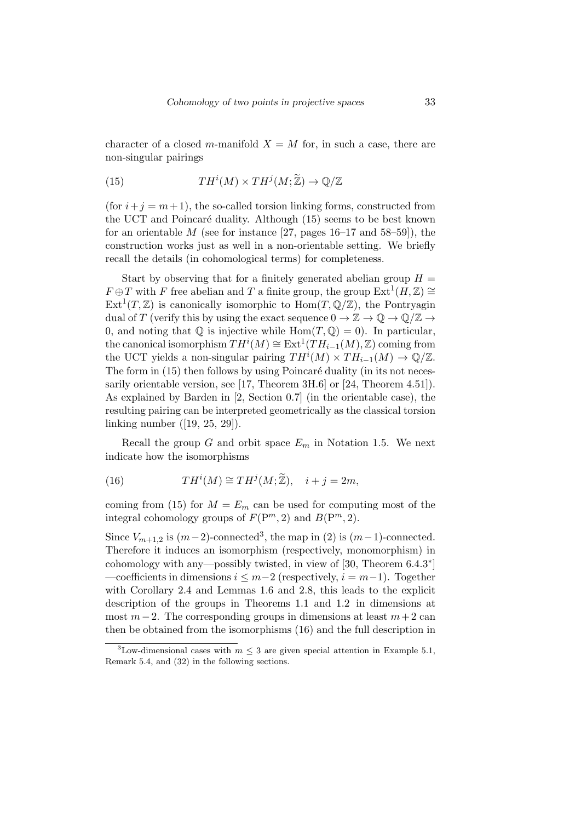character of a closed *m*-manifold  $X = M$  for, in such a case, there are non-singular pairings

(15) 
$$
TH^{i}(M) \times TH^{j}(M; \widetilde{\mathbb{Z}}) \to \mathbb{Q}/\mathbb{Z}
$$

(for  $i + j = m + 1$ ), the so-called torsion linking forms, constructed from the UCT and Poincaré duality. Although (15) seems to be best known for an orientable *M* (see for instance [27, pages 16–17 and 58–59]), the construction works just as well in a non-orientable setting. We briefly recall the details (in cohomological terms) for completeness.

Start by observing that for a finitely generated abelian group  $H =$ *F*  $\oplus$  *T* with *F* free abelian and *T* a finite group, the group Ext<sup>1</sup>(*H*, *Z*)  $\cong$  $Ext<sup>1</sup>(T, \mathbb{Z})$  is canonically isomorphic to  $Hom(T, \mathbb{Q}/\mathbb{Z})$ , the Pontryagin dual of *T* (verify this by using the exact sequence  $0 \to \mathbb{Z} \to \mathbb{Q} \to \mathbb{Q}/\mathbb{Z} \to$ 0, and noting that  $\mathbb Q$  is injective while  $\text{Hom}(T, \mathbb Q) = 0$ . In particular, the canonical isomorphism  $TH^{i}(M) \cong \text{Ext}^{1}(TH_{i-1}(M), \mathbb{Z})$  coming from the UCT yields a non-singular pairing  $TH^{i}(M) \times TH_{i-1}(M) \to \mathbb{Q}/\mathbb{Z}$ . The form in  $(15)$  then follows by using Poincaré duality (in its not necessarily orientable version, see [17, Theorem 3H.6] or [24, Theorem 4.51]). As explained by Barden in [2, Section 0.7] (in the orientable case), the resulting pairing can be interpreted geometrically as the classical torsion linking number ([19, 25, 29]).

Recall the group *G* and orbit space  $E_m$  in Notation 1.5. We next indicate how the isomorphisms

(16) 
$$
TH^{i}(M) \cong TH^{j}(M; \widetilde{\mathbb{Z}}), \quad i + j = 2m,
$$

coming from (15) for  $M = E_m$  can be used for computing most of the integral cohomology groups of  $F(P^m, 2)$  and  $B(P^m, 2)$ .

Since  $V_{m+1,2}$  is  $(m-2)$ -connected<sup>3</sup>, the map in (2) is  $(m-1)$ -connected. Therefore it induces an isomorphism (respectively, monomorphism) in cohomology with any—possibly twisted, in view of [30, Theorem 6*.*4*.*3 *∗* ] —coefficients in dimensions *i ≤ m−*2 (respectively, *i* = *m−*1). Together with Corollary 2.4 and Lemmas 1.6 and 2.8, this leads to the explicit description of the groups in Theorems 1.1 and 1.2 in dimensions at most  $m-2$ . The corresponding groups in dimensions at least  $m+2$  can then be obtained from the isomorphisms (16) and the full description in

<sup>&</sup>lt;sup>3</sup>Low-dimensional cases with  $m \leq 3$  are given special attention in Example 5.1, Remark 5.4, and (32) in the following sections.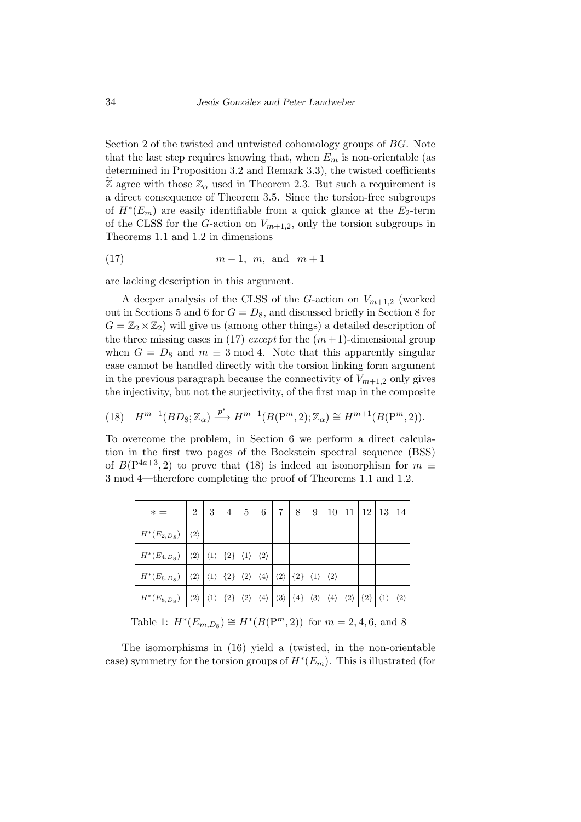Section 2 of the twisted and untwisted cohomology groups of *BG*. Note that the last step requires knowing that, when  $E_m$  is non-orientable (as determined in Proposition 3.2 and Remark 3.3), the twisted coefficients Z agree with those  $\mathbb{Z}_{\alpha}$  used in Theorem 2.3. But such a requirement is a direct consequence of Theorem 3.5. Since the torsion-free subgroups of  $H^*(E_m)$  are easily identifiable from a quick glance at the  $E_2$ -term of the CLSS for the *G*-action on  $V_{m+1,2}$ , only the torsion subgroups in Theorems 1.1 and 1.2 in dimensions

$$
(17) \t m-1, m, \text{ and } m+1
$$

are lacking description in this argument.

A deeper analysis of the CLSS of the *G*-action on *Vm*+1*,*<sup>2</sup> (worked out in Sections 5 and 6 for  $G = D_8$ , and discussed briefly in Section 8 for  $G = \mathbb{Z}_2 \times \mathbb{Z}_2$ ) will give us (among other things) a detailed description of the three missing cases in (17) *except* for the  $(m+1)$ -dimensional group when  $G = D_8$  and  $m \equiv 3 \mod 4$ . Note that this apparently singular case cannot be handled directly with the torsion linking form argument in the previous paragraph because the connectivity of  $V_{m+1,2}$  only gives the injectivity, but not the surjectivity, of the first map in the composite

(18) 
$$
H^{m-1}(BD_8; \mathbb{Z}_{\alpha}) \xrightarrow{p^*} H^{m-1}(B(\mathbb{P}^m, 2); \mathbb{Z}_{\alpha}) \cong H^{m+1}(B(\mathbb{P}^m, 2)).
$$

To overcome the problem, in Section 6 we perform a direct calculation in the first two pages of the Bockstein spectral sequence (BSS) of  $B(P^{4a+3}, 2)$  to prove that (18) is indeed an isomorphism for  $m \equiv$ 3 mod 4—therefore completing the proof of Theorems 1.1 and 1.2.

| $* =$            | $\overline{2}$      | 3 | 4                           | 5                   | 6                   | 7                   | 8     | 9                   | 10                  | 11                  | 12 <sup>1</sup> | 13                  | -14                 |
|------------------|---------------------|---|-----------------------------|---------------------|---------------------|---------------------|-------|---------------------|---------------------|---------------------|-----------------|---------------------|---------------------|
| $H^*(E_{2,D_8})$ | $\langle 2\rangle$  |   |                             |                     |                     |                     |       |                     |                     |                     |                 |                     |                     |
| $H^*(E_{4,D_8})$ | $\langle 2 \rangle$ |   | $\langle 1 \rangle  \{2\} $ | $\langle 1 \rangle$ | $\langle 2 \rangle$ |                     |       |                     |                     |                     |                 |                     |                     |
| $H^*(E_{6,D_8})$ | $\langle 2\rangle$  |   | $\langle 1 \rangle  \{2\} $ | $\langle 2 \rangle$ | $\langle 4 \rangle$ | $\langle 2 \rangle$ | ${2}$ | $\langle 1 \rangle$ | $\langle 2\rangle$  |                     |                 |                     |                     |
| $H^*(E_{8,D_8})$ | $\langle 2 \rangle$ |   | $\langle 1 \rangle  \{2\} $ | $\langle 2 \rangle$ | $\langle 4 \rangle$ | $\langle 3 \rangle$ | ${4}$ | $\langle 3 \rangle$ | $\langle 4 \rangle$ | $\langle 2 \rangle$ | ${2}$           | $\langle 1 \rangle$ | $\langle 2 \rangle$ |

Table 1:  $H^*(E_{m,D_8}) \cong H^*(B(\mathbb{P}^m, 2))$  for  $m = 2, 4, 6$ , and 8

The isomorphisms in (16) yield a (twisted, in the non-orientable case) symmetry for the torsion groups of *H<sup>∗</sup>* (*Em*). This is illustrated (for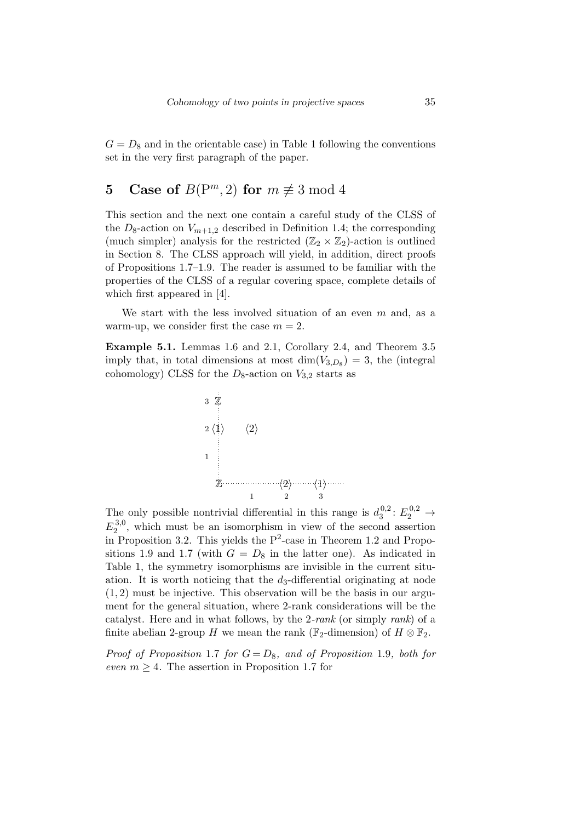$G = D_8$  and in the orientable case) in Table 1 following the conventions set in the very first paragraph of the paper.

## **5** Case of  $B(P^m, 2)$  for  $m \not\equiv 3 \mod 4$

This section and the next one contain a careful study of the CLSS of the  $D_8$ -action on  $V_{m+1,2}$  described in Definition 1.4; the corresponding (much simpler) analysis for the restricted  $(\mathbb{Z}_2 \times \mathbb{Z}_2)$ -action is outlined in Section 8. The CLSS approach will yield, in addition, direct proofs of Propositions 1.7–1.9. The reader is assumed to be familiar with the properties of the CLSS of a regular covering space, complete details of which first appeared in [4].

We start with the less involved situation of an even *m* and, as a warm-up, we consider first the case  $m = 2$ .

**Example 5.1.** Lemmas 1.6 and 2.1, Corollary 2.4, and Theorem 3.5 imply that, in total dimensions at most  $\dim(V_{3,D_8}) = 3$ , the (integral cohomology) CLSS for the  $D_8$ -action on  $V_{3,2}$  starts as



The only possible nontrivial differential in this range is  $d_3^{0,2}$  $E_3^{0,2}$ :  $E_2^{0,2}$   $\rightarrow$  $E_2^{3,0}$  $2^{3,0}$ , which must be an isomorphism in view of the second assertion in Proposition 3.2. This yields the  $P^2$ -case in Theorem 1.2 and Propositions 1.9 and 1.7 (with  $G = D_8$  in the latter one). As indicated in Table 1, the symmetry isomorphisms are invisible in the current situation. It is worth noticing that the *d*3-differential originating at node (1*,* 2) must be injective. This observation will be the basis in our argument for the general situation, where 2-rank considerations will be the catalyst. Here and in what follows, by the 2*-rank* (or simply *rank*) of a finite abelian 2-group *H* we mean the rank ( $\mathbb{F}_2$ -dimension) of  $H \otimes \mathbb{F}_2$ .

*Proof of Proposition* 1.7 *for*  $G = D_8$ *, and of Proposition* 1.9*, both for even*  $m \geq 4$ . The assertion in Proposition 1.7 for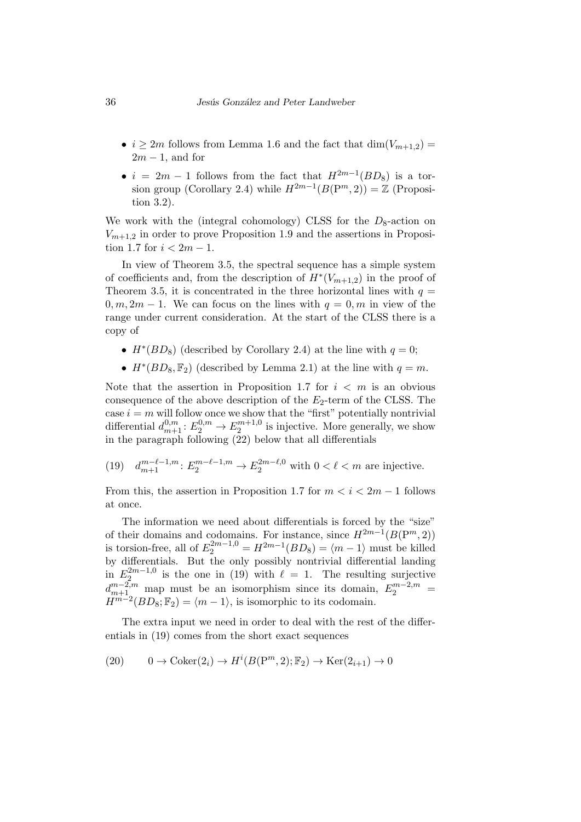- $i \geq 2m$  follows from Lemma 1.6 and the fact that  $\dim(V_{m+1,2})$  = 2*m −* 1, and for
- $i = 2m 1$  follows from the fact that  $H^{2m-1}(BD_8)$  is a torsion group (Corollary 2.4) while  $H^{2m-1}(B(\mathbb{P}^m, 2)) = \mathbb{Z}$  (Proposition 3.2).

We work with the (integral cohomology) CLSS for the  $D_8$ -action on  $V_{m+1,2}$  in order to prove Proposition 1.9 and the assertions in Proposition 1.7 for  $i < 2m - 1$ .

In view of Theorem 3.5, the spectral sequence has a simple system of coefficients and, from the description of  $H^*(V_{m+1,2})$  in the proof of Theorem 3.5, it is concentrated in the three horizontal lines with  $q =$  $0, m, 2m - 1$ . We can focus on the lines with  $q = 0, m$  in view of the range under current consideration. At the start of the CLSS there is a copy of

- $H^*(BD_8)$  (described by Corollary 2.4) at the line with  $q=0$ ;
- $H^*(BD_8, \mathbb{F}_2)$  (described by Lemma 2.1) at the line with  $q = m$ .

Note that the assertion in Proposition 1.7 for  $i < m$  is an obvious consequence of the above description of the *E*2-term of the CLSS. The case  $i = m$  will follow once we show that the "first" potentially nontrivial differential  $d_{m+1}^{0,m}: E_2^{0,m} \to E_2^{m+1,0}$  $z^{m+1,0}$  is injective. More generally, we show in the paragraph following (22) below that all differentials

 $(19)$  $m^{-\ell-1,m}_{m+1}: E_2^{m-\ell-1,m} \to E_2^{2m-\ell,0}$  with  $0 < \ell < m$  are injective.

From this, the assertion in Proposition 1.7 for  $m < i < 2m - 1$  follows at once.

The information we need about differentials is forced by the "size" of their domains and codomains. For instance, since  $H^{2m-1}(B(\mathbb{P}^m, 2))$ is torsion-free, all of  $E_2^{2m-1,0} = H^{2m-1}(BD_8) = \langle m-1 \rangle$  must be killed by differentials. But the only possibly nontrivial differential landing in  $E_2^{2m-1,0}$  $\ell_{2}^{2m-1,0}$  is the one in (19) with  $\ell = 1$ . The resulting surjective  $d_{m+1}^{m-2,m}$  map must be an isomorphism since its domain,  $E_2^{m-2,m}$  =  $H^{m-2}(BD_8; \mathbb{F}_2) = \langle m-1 \rangle$ , is isomorphic to its codomain.

The extra input we need in order to deal with the rest of the differentials in (19) comes from the short exact sequences

(20) 
$$
0 \to \text{Coker}(2_i) \to H^i(B(\mathbb{P}^m, 2); \mathbb{F}_2) \to \text{Ker}(2_{i+1}) \to 0
$$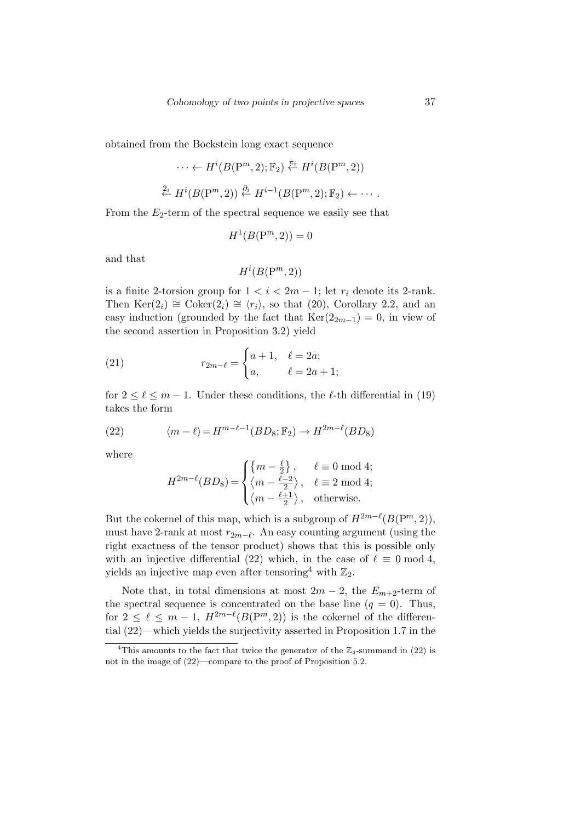obtained from the Bockstein long exact sequence

$$
\cdots \leftarrow H^i(B(\mathbf{P}^m, 2); \mathbb{F}_2) \stackrel{\pi_i}{\leftarrow} H^i(B(\mathbf{P}^m, 2))
$$
  

$$
\stackrel{2_i}{\leftarrow} H^i(B(\mathbf{P}^m, 2)) \stackrel{\partial_i}{\leftarrow} H^{i-1}(B(\mathbf{P}^m, 2); \mathbb{F}_2) \leftarrow \cdots
$$

From the  $E_2$ -term of the spectral sequence we easily see that

$$
H^1(B(\mathbf{P}^m,2))=0
$$

and that

$$
H^i(B(\mathrm{P}^m,2))
$$

is a finite 2-torsion group for  $1 < i < 2m - 1$ ; let  $r_i$  denote its 2-rank. Then  $\text{Ker}(2_i) \cong \text{Coker}(2_i) \cong \langle r_i \rangle$ , so that (20), Corollary 2.2, and an easy induction (grounded by the fact that  $\text{Ker}(2_{2m-1}) = 0$ , in view of the second assertion in Proposition 3.2) yield

(21) 
$$
r_{2m-\ell} = \begin{cases} a+1, & \ell = 2a; \\ a, & \ell = 2a+1; \end{cases}
$$

for  $2 \leq \ell \leq m-1$ . Under these conditions, the  $\ell$ -th differential in (19) takes the form

(22) 
$$
\langle m - \ell \rangle = H^{m-\ell-1}(BD_8; \mathbb{F}_2) \to H^{2m-\ell}(BD_8)
$$

where

$$
H^{2m-\ell}(BD_8)=\begin{cases} \left\{m-\frac{\ell}{2}\right\},&\ell\equiv0\text{ mod }4;\\ \left\langle m-\frac{\ell-2}{2}\right\rangle,&\ell\equiv2\text{ mod }4;\\ \left\langle m-\frac{\ell+1}{2}\right\rangle,&\text{otherwise}. \end{cases}
$$

But the cokernel of this map, which is a subgroup of  $H^{2m-\ell}(B(\mathbb{P}^m,2)),$ must have 2-rank at most  $r_{2m-\ell}$ . An easy counting argument (using the right exactness of the tensor product) shows that this is possible only with an injective differential (22) which, in the case of  $\ell \equiv 0 \mod 4$ , yields an injective map even after tensoring<sup>4</sup> with  $\mathbb{Z}_2$ .

Note that, in total dimensions at most  $2m - 2$ , the  $E_{m+2}$ -term of the spectral sequence is concentrated on the base line  $(q = 0)$ . Thus, for  $2 \leq \ell \leq m-1$ ,  $H^{2m-\ell}(B(P^m, 2))$  is the cokernel of the differential (22)—which yields the surjectivity asserted in Proposition 1.7 in the

<sup>&</sup>lt;sup>4</sup>This amounts to the fact that twice the generator of the  $\mathbb{Z}_4$ -summand in (22) is not in the image of (22)—compare to the proof of Proposition 5.2.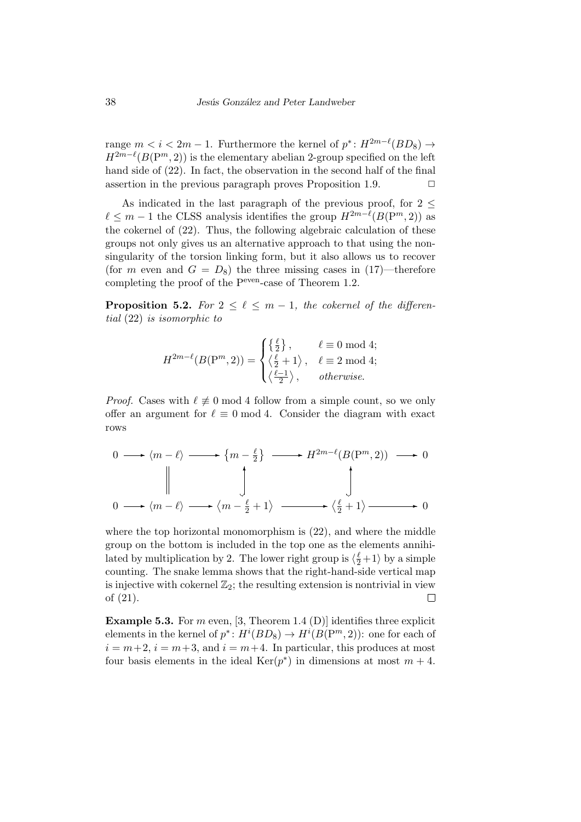range  $m < i < 2m - 1$ . Furthermore the kernel of  $p^* \colon H^{2m-\ell}(BD_8) \to$  $H^{2m-\ell}(B(\mathbb{P}^m,2))$  is the elementary abelian 2-group specified on the left hand side of (22). In fact, the observation in the second half of the final assertion in the previous paragraph proves Proposition 1.9.  $\Box$ 

As indicated in the last paragraph of the previous proof, for 2 *≤*  $\ell \leq m-1$  the CLSS analysis identifies the group  $H^{2m-\ell}(B(\mathbb{P}^m, 2))$  as the cokernel of (22). Thus, the following algebraic calculation of these groups not only gives us an alternative approach to that using the nonsingularity of the torsion linking form, but it also allows us to recover (for *m* even and  $G = D_8$ ) the three missing cases in (17)—therefore completing the proof of the Peven-case of Theorem 1.2.

**Proposition 5.2.** For  $2 \leq \ell \leq m-1$ , the cokernel of the differen*tial* (22) *is isomorphic to*

$$
H^{2m-\ell}(B(\mathrm{P}^m,2)) = \begin{cases} \left\{\frac{\ell}{2}\right\}, & \ell \equiv 0 \bmod 4; \\ \left\langle \frac{\ell}{2} + 1 \right\rangle, & \ell \equiv 2 \bmod 4; \\ \left\langle \frac{\ell-1}{2} \right\rangle, & otherwise. \end{cases}
$$

*Proof.* Cases with  $\ell \neq 0$  mod 4 follow from a simple count, so we only offer an argument for  $\ell \equiv 0 \mod 4$ . Consider the diagram with exact rows

$$
0 \longrightarrow \langle m - \ell \rangle \longrightarrow \{m - \frac{\ell}{2}\} \longrightarrow H^{2m-\ell}(B(\mathbf{P}^m, 2)) \longrightarrow 0
$$
  

$$
\downarrow
$$
  

$$
0 \longrightarrow \langle m - \ell \rangle \longrightarrow \langle m - \frac{\ell}{2} + 1 \rangle \longrightarrow \langle \frac{\ell}{2} + 1 \rangle \longrightarrow 0
$$

where the top horizontal monomorphism is  $(22)$ , and where the middle group on the bottom is included in the top one as the elements annihilated by multiplication by 2. The lower right group is  $\langle \frac{\ell}{2} + 1 \rangle$  by a simple counting. The snake lemma shows that the right-hand-side vertical map is injective with cokernel  $\mathbb{Z}_2$ ; the resulting extension is nontrivial in view of (21).  $\Box$ 

**Example 5.3.** For  $m$  even, [3, Theorem 1.4 (D)] identifies three explicit elements in the kernel of  $p^*$ :  $H^i(BD_8) \to H^i(B(\mathbb{P}^m, 2))$ : one for each of  $i = m+2$ ,  $i = m+3$ , and  $i = m+4$ . In particular, this produces at most four basis elements in the ideal  $\text{Ker}(p^*)$  in dimensions at most  $m+4$ .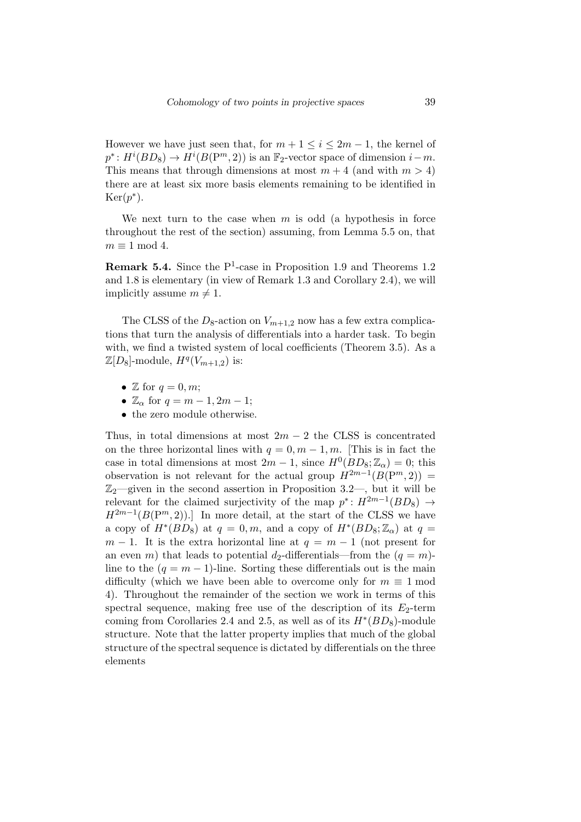However we have just seen that, for  $m + 1 \leq i \leq 2m - 1$ , the kernel of  $p^*$ :  $H^i(BD_8) \to H^i(B(\mathbb{P}^m, 2))$  is an  $\mathbb{F}_2$ -vector space of dimension  $i - m$ . This means that through dimensions at most  $m + 4$  (and with  $m > 4$ ) there are at least six more basis elements remaining to be identified in  $Ker(p^*).$ 

We next turn to the case when *m* is odd (a hypothesis in force throughout the rest of the section) assuming, from Lemma 5.5 on, that  $m \equiv 1 \mod 4$ .

**Remark 5.4.** Since the P<sup>1</sup>-case in Proposition 1.9 and Theorems 1.2 and 1.8 is elementary (in view of Remark 1.3 and Corollary 2.4), we will implicitly assume  $m \neq 1$ .

The CLSS of the  $D_8$ -action on  $V_{m+1,2}$  now has a few extra complications that turn the analysis of differentials into a harder task. To begin with, we find a twisted system of local coefficients (Theorem 3.5). As a  $\mathbb{Z}[D_8]$ -module,  $H^q(V_{m+1,2})$  is:

- $\mathbb Z$  for  $q = 0, m$ ;
- $\mathbb{Z}_{\alpha}$  for  $q = m 1, 2m 1;$
- *•* the zero module otherwise.

Thus, in total dimensions at most  $2m - 2$  the CLSS is concentrated on the three horizontal lines with  $q = 0, m - 1, m$ . [This is in fact the case in total dimensions at most  $2m - 1$ , since  $H^0(BD_8; \mathbb{Z}_\alpha) = 0$ ; this observation is not relevant for the actual group  $H^{2m-1}(B(\mathbb{P}^m,2))$  =  $\mathbb{Z}_2$ —given in the second assertion in Proposition 3.2—, but it will be relevant for the claimed surjectivity of the map  $p^*$ :  $H^{2m-1}(BD_8) \rightarrow$  $H^{2m-1}(B(\mathbb{P}^m,2))$ .] In more detail, at the start of the CLSS we have a copy of  $H^*(BD_8)$  at  $q = 0, m$ , and a copy of  $H^*(BD_8; \mathbb{Z}_\alpha)$  at  $q =$  $m-1$ . It is the extra horizontal line at  $q = m-1$  (not present for an even *m*) that leads to potential *d*<sub>2</sub>-differentials—from the  $(q = m)$ line to the  $(q = m - 1)$ -line. Sorting these differentials out is the main difficulty (which we have been able to overcome only for  $m \equiv 1 \text{ mod } 1$ 4). Throughout the remainder of the section we work in terms of this spectral sequence, making free use of the description of its  $E_2$ -term coming from Corollaries 2.4 and 2.5, as well as of its  $H^*(BD_8)$ -module structure. Note that the latter property implies that much of the global structure of the spectral sequence is dictated by differentials on the three elements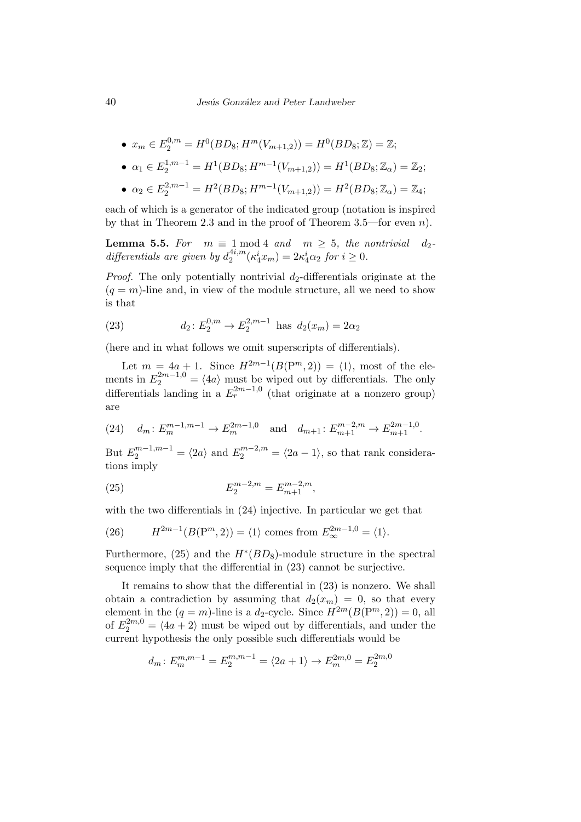• 
$$
x_m \in E_2^{0,m} = H^0(BD_8; H^m(V_{m+1,2})) = H^0(BD_8; \mathbb{Z}) = \mathbb{Z};
$$

• 
$$
\alpha_1 \in E_2^{1,m-1} = H^1(BD_8; H^{m-1}(V_{m+1,2})) = H^1(BD_8; \mathbb{Z}_{\alpha}) = \mathbb{Z}_2;
$$

• 
$$
\alpha_2 \in E_2^{2,m-1} = H^2(BD_8; H^{m-1}(V_{m+1,2})) = H^2(BD_8; \mathbb{Z}_{\alpha}) = \mathbb{Z}_4;
$$

each of which is a generator of the indicated group (notation is inspired by that in Theorem 2.3 and in the proof of Theorem 3.5—for even *n*).

**Lemma 5.5.** For  $m \equiv 1 \mod 4$  and  $m \geq 5$ , the nontrivial  $d_2$ *differentials are given by*  $d_2^{4i,m}$  $2^{4i,m}(\kappa_4^i x_m) = 2\kappa_4^i \alpha_2 \text{ for } i \geq 0.$ 

*Proof.* The only potentially nontrivial  $d_2$ -differentials originate at the  $(q = m)$ -line and, in view of the module structure, all we need to show is that

(23) 
$$
d_2: E_2^{0,m} \to E_2^{2,m-1} \text{ has } d_2(x_m) = 2\alpha_2
$$

(here and in what follows we omit superscripts of differentials).

Let  $m = 4a + 1$ . Since  $H^{2m-1}(B(P^m, 2)) = \langle 1 \rangle$ , most of the elements in  $E_2^{2m-1,0} = \langle 4a \rangle$  must be wiped out by differentials. The only differentials landing in a  $E_r^{2m-1,0}$  (that originate at a nonzero group) are

(24) 
$$
d_m: E_m^{m-1,m-1} \to E_m^{2m-1,0}
$$
 and  $d_{m+1}: E_{m+1}^{m-2,m} \to E_{m+1}^{2m-1,0}$ .

But  $E_2^{m-1,m-1} = \langle 2a \rangle$  and  $E_2^{m-2,m} = \langle 2a-1 \rangle$ , so that rank considerations imply

(25) 
$$
E_2^{m-2,m} = E_{m+1}^{m-2,m},
$$

with the two differentials in  $(24)$  injective. In particular we get that

(26) 
$$
H^{2m-1}(B(\mathbf{P}^m,2)) = \langle 1 \rangle \text{ comes from } E_{\infty}^{2m-1,0} = \langle 1 \rangle.
$$

Furthermore,  $(25)$  and the  $H^*(BD_8)$ -module structure in the spectral sequence imply that the differential in (23) cannot be surjective.

It remains to show that the differential in (23) is nonzero. We shall obtain a contradiction by assuming that  $d_2(x_m) = 0$ , so that every element in the  $(q = m)$ -line is a  $d_2$ -cycle. Since  $H^{2m}(B(\mathbb{P}^m, 2)) = 0$ , all of  $E_2^{2m,0} = \langle 4a+2 \rangle$  must be wiped out by differentials, and under the current hypothesis the only possible such differentials would be

$$
d_m: E_m^{m,m-1} = E_2^{m,m-1} = \langle 2a+1 \rangle \to E_m^{2m,0} = E_2^{2m,0}
$$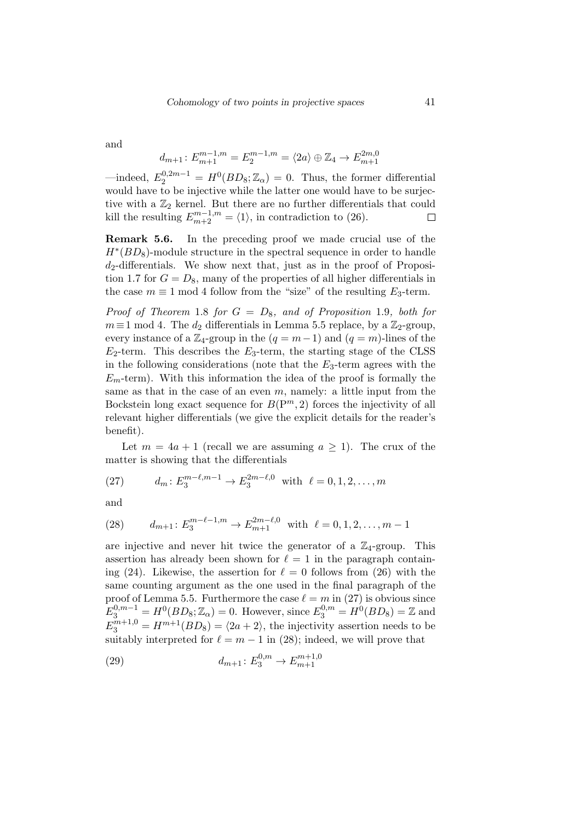and

$$
d_{m+1} \colon E_{m+1}^{m-1,m} = E_2^{m-1,m} = \langle 2a \rangle \oplus \mathbb{Z}_4 \to E_{m+1}^{2m,0}
$$

 $\text{—indeed, } E_2^{0,2m-1} = H^0(BD_8; \mathbb{Z}_\alpha) = 0.$  Thus, the former differential would have to be injective while the latter one would have to be surjective with a  $\mathbb{Z}_2$  kernel. But there are no further differentials that could kill the resulting  $E_{m+2}^{m-1,m} = \langle 1 \rangle$ , in contradiction to (26).  $\Box$ 

**Remark 5.6.** In the preceding proof we made crucial use of the *H*<sup>∗</sup>(*BD*<sub>8</sub>)-module structure in the spectral sequence in order to handle *d*2-differentials. We show next that, just as in the proof of Proposition 1.7 for  $G = D_8$ , many of the properties of all higher differentials in the case  $m \equiv 1 \mod 4$  follow from the "size" of the resulting  $E_3$ -term.

*Proof of Theorem* 1.8 *for G* = *D*8*, and of Proposition* 1.9*, both for*  $m \equiv 1 \mod 4$ . The  $d_2$  differentials in Lemma 5.5 replace, by a  $\mathbb{Z}_2$ -group, every instance of a  $\mathbb{Z}_4$ -group in the  $(q = m-1)$  and  $(q = m)$ -lines of the  $E_2$ -term. This describes the  $E_3$ -term, the starting stage of the CLSS in the following considerations (note that the *E*3-term agrees with the  $E_m$ -term). With this information the idea of the proof is formally the same as that in the case of an even *m*, namely: a little input from the Bockstein long exact sequence for  $B(P^m, 2)$  forces the injectivity of all relevant higher differentials (we give the explicit details for the reader's benefit).

Let  $m = 4a + 1$  (recall we are assuming  $a \ge 1$ ). The crux of the matter is showing that the differentials

(27) 
$$
d_m: E_3^{m-\ell,m-1} \to E_3^{2m-\ell,0} \text{ with } \ell = 0, 1, 2, ..., m
$$

and

(28) 
$$
d_{m+1}: E_3^{m-\ell-1,m} \to E_{m+1}^{2m-\ell,0} \text{ with } \ell = 0, 1, 2, \dots, m-1
$$

are injective and never hit twice the generator of a  $\mathbb{Z}_4$ -group. This assertion has already been shown for  $\ell = 1$  in the paragraph containing (24). Likewise, the assertion for  $\ell = 0$  follows from (26) with the same counting argument as the one used in the final paragraph of the proof of Lemma 5.5. Furthermore the case  $\ell = m$  in (27) is obvious since  $E_3^{0,m-1} = H^0(BD_8; \mathbb{Z}_\alpha) = 0.$  However, since  $E_3^{0,m} = H^0(BD_8) = \mathbb{Z}$  and  $E_3^{m+1,0} = H^{m+1}(BD_8) = \langle 2a + 2 \rangle$ , the injectivity assertion needs to be suitably interpreted for  $\ell = m - 1$  in (28); indeed, we will prove that

(29) 
$$
d_{m+1} : E_3^{0,m} \to E_{m+1}^{m+1,0}
$$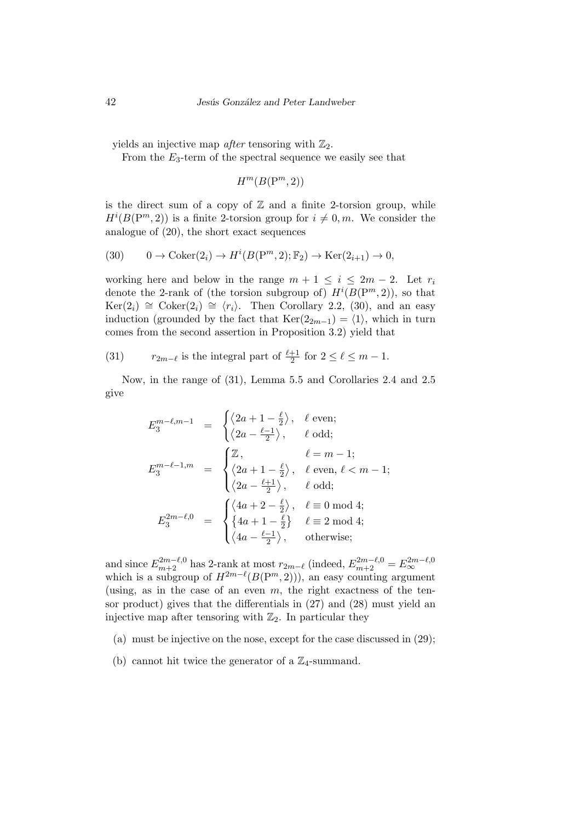yields an injective map *after* tensoring with  $\mathbb{Z}_2$ .

From the  $E_3$ -term of the spectral sequence we easily see that

 $H^m(B(\mathrm{P}^m, 2))$ 

is the direct sum of a copy of  $\mathbb Z$  and a finite 2-torsion group, while  $H^{i}(B(\mathbb{P}^m, 2))$  is a finite 2-torsion group for  $i \neq 0, m$ . We consider the analogue of (20), the short exact sequences

$$
(30) \qquad 0 \to \text{Coker}(2_i) \to H^i(B(\mathbf{P}^m, 2); \mathbb{F}_2) \to \text{Ker}(2_{i+1}) \to 0,
$$

working here and below in the range  $m + 1 \leq i \leq 2m - 2$ . Let  $r_i$ denote the 2-rank of (the torsion subgroup of)  $H^{i}(B(P^{m}, 2))$ , so that  $Ker(2<sub>i</sub>)$   $\cong$  Coker(2<sub>*i*</sub>)  $\cong$   $\langle r_i \rangle$ . Then Corollary 2.2, (30), and an easy induction (grounded by the fact that  $\text{Ker}(2_{2m-1}) = \langle 1 \rangle$ , which in turn comes from the second assertion in Proposition 3.2) yield that

(31)  $r_{2m-\ell}$  is the integral part of  $\frac{\ell+1}{2}$  for  $2 \leq \ell \leq m-1$ .

Now, in the range of (31), Lemma 5.5 and Corollaries 2.4 and 2.5 give

$$
E_3^{m-\ell,m-1} = \begin{cases} \langle 2a+1-\frac{\ell}{2} \rangle, & \ell \text{ even;} \\ \langle 2a-\frac{\ell-1}{2} \rangle, & \ell \text{ odd;} \end{cases}
$$
  

$$
E_3^{m-\ell-1,m} = \begin{cases} \mathbb{Z}, & \ell=m-1; \\ \langle 2a+1-\frac{\ell}{2} \rangle, & \ell \text{ even, } \ell < m-1; \\ \langle 2a-\frac{\ell+1}{2} \rangle, & \ell \text{ odd;} \end{cases}
$$
  

$$
E_3^{2m-\ell,0} = \begin{cases} \langle 4a+2-\frac{\ell}{2} \rangle, & \ell \equiv 0 \mod 4; \\ \{4a+1-\frac{\ell}{2} \} & \ell \equiv 2 \mod 4; \\ \langle 4a-\frac{\ell-1}{2} \rangle, & \text{otherwise;} \end{cases}
$$

and since  $E_{m+2}^{2m-\ell,0}$  has 2-rank at most  $r_{2m-\ell}$  (indeed,  $E_{m+2}^{2m-\ell,0} = E_{\infty}^{2m-\ell,0}$ <br>which is a subgroup of  $H^{2m-\ell}(B(\mathbb{P}^m,2)))$ , an easy counting argument (using, as in the case of an even  $m$ , the right exactness of the tensor product) gives that the differentials in (27) and (28) must yield an injective map after tensoring with  $\mathbb{Z}_2$ . In particular they

- (a) must be injective on the nose, except for the case discussed in (29);
- (b) cannot hit twice the generator of a  $\mathbb{Z}_4$ -summand.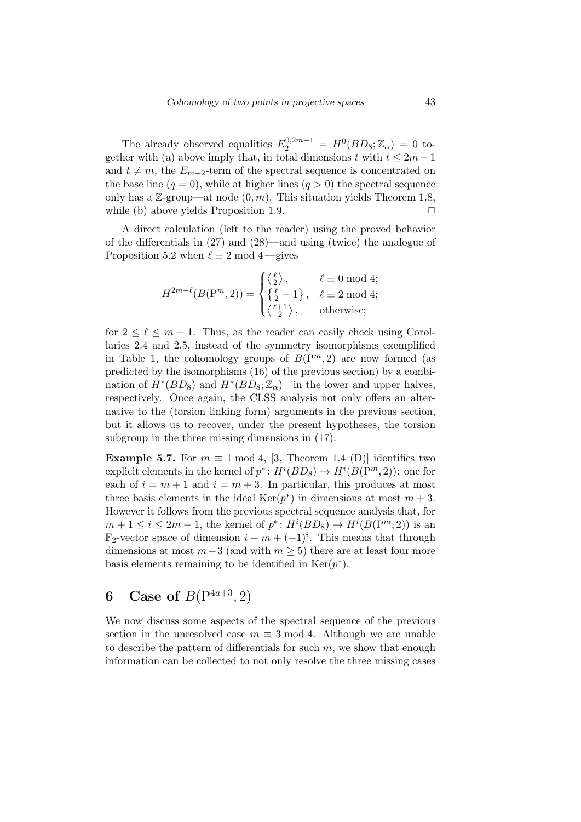The already observed equalities  $E_2^{0,2m-1} = H^0(BD_8; \mathbb{Z}_\alpha) = 0$  together with (a) above imply that, in total dimensions *t* with  $t \leq 2m - 1$ and  $t \neq m$ , the  $E_{m+2}$ -term of the spectral sequence is concentrated on the base line  $(q = 0)$ , while at higher lines  $(q > 0)$  the spectral sequence only has a  $\mathbb{Z}$ -group—at node  $(0, m)$ . This situation yields Theorem 1.8, while (b) above yields Proposition 1.9. **□** 

A direct calculation (left to the reader) using the proved behavior of the differentials in (27) and (28)—and using (twice) the analogue of Proposition 5.2 when  $\ell \equiv 2 \mod 4$ —gives

$$
H^{2m-\ell}(B(\mathrm{P}^m,2)) = \begin{cases} \langle \frac{\ell}{2} \rangle, & \ell \equiv 0 \bmod 4; \\ \left\{ \frac{\ell}{2} - 1 \right\}, & \ell \equiv 2 \bmod 4; \\ \langle \frac{\ell+1}{2} \rangle, & \text{otherwise}; \end{cases}
$$

for  $2 \leq \ell \leq m-1$ . Thus, as the reader can easily check using Corollaries 2.4 and 2.5, instead of the symmetry isomorphisms exemplified in Table 1, the cohomology groups of  $B(P^m, 2)$  are now formed (as predicted by the isomorphisms (16) of the previous section) by a combination of  $H^*(BD_8)$  and  $H^*(BD_8; \mathbb{Z}_\alpha)$ —in the lower and upper halves, respectively. Once again, the CLSS analysis not only offers an alternative to the (torsion linking form) arguments in the previous section, but it allows us to recover, under the present hypotheses, the torsion subgroup in the three missing dimensions in (17).

**Example 5.7.** For  $m \equiv 1 \mod 4$ , [3, Theorem 1.4 (D)] identifies two explicit elements in the kernel of  $p^*$ :  $H^i(BD_8) \to H^i(B(\mathbb{P}^m, 2))$ : one for each of  $i = m + 1$  and  $i = m + 3$ . In particular, this produces at most three basis elements in the ideal  $\text{Ker}(p^*)$  in dimensions at most  $m+3$ . However it follows from the previous spectral sequence analysis that, for  $m + 1 \le i \le 2m - 1$ , the kernel of  $p^* \colon H^i(BD_8) \to H^i(B(\mathbb{P}^m, 2))$  is an  $\mathbb{F}_2$ -vector space of dimension  $i - m + (-1)^i$ . This means that through dimensions at most  $m+3$  (and with  $m \geq 5$ ) there are at least four more basis elements remaining to be identified in  $Ker(p^*)$ .

## **6** Case of  $B(P^{4a+3}, 2)$

We now discuss some aspects of the spectral sequence of the previous section in the unresolved case  $m \equiv 3 \mod 4$ . Although we are unable to describe the pattern of differentials for such *m*, we show that enough information can be collected to not only resolve the three missing cases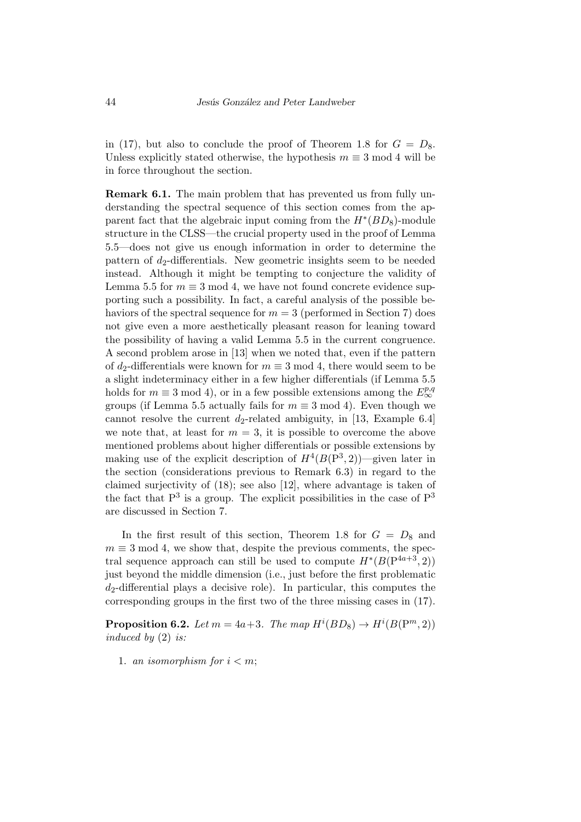in (17), but also to conclude the proof of Theorem 1.8 for  $G = D_8$ . Unless explicitly stated otherwise, the hypothesis  $m \equiv 3 \mod 4$  will be in force throughout the section.

**Remark 6.1.** The main problem that has prevented us from fully understanding the spectral sequence of this section comes from the apparent fact that the algebraic input coming from the *H<sup>∗</sup>* (*BD*8)-module structure in the CLSS—the crucial property used in the proof of Lemma 5.5—does not give us enough information in order to determine the pattern of  $d_2$ -differentials. New geometric insights seem to be needed instead. Although it might be tempting to conjecture the validity of Lemma 5.5 for  $m \equiv 3 \mod 4$ , we have not found concrete evidence supporting such a possibility. In fact, a careful analysis of the possible behaviors of the spectral sequence for  $m = 3$  (performed in Section 7) does not give even a more aesthetically pleasant reason for leaning toward the possibility of having a valid Lemma 5.5 in the current congruence. A second problem arose in [13] when we noted that, even if the pattern of  $d_2$ -differentials were known for  $m \equiv 3 \mod 4$ , there would seem to be a slight indeterminacy either in a few higher differentials (if Lemma 5.5 holds for  $m \equiv 3 \mod 4$ , or in a few possible extensions among the  $E_{\infty}^{p,q}$ groups (if Lemma 5.5 actually fails for  $m \equiv 3 \mod 4$ ). Even though we cannot resolve the current  $d_2$ -related ambiguity, in [13, Example 6.4] we note that, at least for  $m = 3$ , it is possible to overcome the above mentioned problems about higher differentials or possible extensions by making use of the explicit description of  $H^4(B(P^3, 2))$ —given later in the section (considerations previous to Remark 6.3) in regard to the claimed surjectivity of (18); see also [12], where advantage is taken of the fact that  $P^3$  is a group. The explicit possibilities in the case of  $P^3$ are discussed in Section 7.

In the first result of this section, Theorem 1.8 for  $G = D_8$  and  $m \equiv 3 \mod 4$ , we show that, despite the previous comments, the spectral sequence approach can still be used to compute  $H^*(B(P^{4a+3}, 2))$ just beyond the middle dimension (i.e., just before the first problematic *d*2-differential plays a decisive role). In particular, this computes the corresponding groups in the first two of the three missing cases in (17).

**Proposition 6.2.** *Let*  $m = 4a+3$ *. The map*  $H^{i}(BD_8) \rightarrow H^{i}(B(\mathbb{P}^m, 2))$ *induced by* (2) *is:*

1. *an isomorphism for*  $i < m$ ;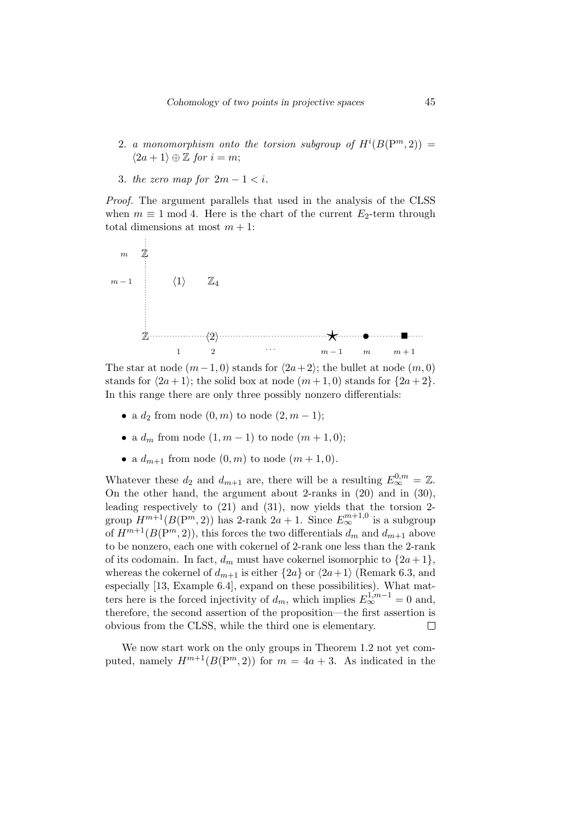- 2. *a monomorphism onto the torsion subgroup of*  $H^{i}(B(\mathbb{P}^m,2)) =$  $\langle 2a + 1 \rangle ⊕ \mathbb{Z}$  *for*  $i = m$ ;
- 3. *the zero map for*  $2m 1 < i$ .

*Proof.* The argument parallels that used in the analysis of the CLSS when  $m \equiv 1 \mod 4$ . Here is the chart of the current  $E_2$ -term through total dimensions at most  $m + 1$ :



The star at node  $(m-1,0)$  stands for  $\langle 2a+2 \rangle$ ; the bullet at node  $(m,0)$ stands for  $\langle 2a + 1 \rangle$ ; the solid box at node  $(m+1,0)$  stands for  $\{2a+2\}$ . In this range there are only three possibly nonzero differentials:

- a  $d_2$  from node  $(0, m)$  to node  $(2, m 1)$ ;
- a  $d_m$  from node  $(1, m 1)$  to node  $(m + 1, 0)$ ;
- a  $d_{m+1}$  from node  $(0, m)$  to node  $(m + 1, 0)$ .

Whatever these  $d_2$  and  $d_{m+1}$  are, there will be a resulting  $E_{\infty}^{0,m} = \mathbb{Z}$ . On the other hand, the argument about 2-ranks in (20) and in (30), leading respectively to (21) and (31), now yields that the torsion 2 group  $H^{m+1}(B(\mathrm{P}^m, 2))$  has 2-rank  $2a + 1$ . Since  $E^{m+1,0}_\infty$  is a subgroup of  $H^{m+1}(B(\mathbb{P}^m, 2))$ , this forces the two differentials  $d_m$  and  $d_{m+1}$  above to be nonzero, each one with cokernel of 2-rank one less than the 2-rank of its codomain. In fact,  $d_m$  must have cokernel isomorphic to  $\{2a+1\}$ , whereas the cokernel of  $d_{m+1}$  is either  $\{2a\}$  or  $\langle 2a+1 \rangle$  (Remark 6.3, and especially [13, Example 6.4], expand on these possibilities). What matters here is the forced injectivity of  $d_m$ , which implies  $E_{\infty}^{1,m-1} = 0$  and, therefore, the second assertion of the proposition—the first assertion is obvious from the CLSS, while the third one is elementary.  $\Box$ 

We now start work on the only groups in Theorem 1.2 not yet computed, namely  $H^{m+1}(B(P^m, 2))$  for  $m = 4a + 3$ . As indicated in the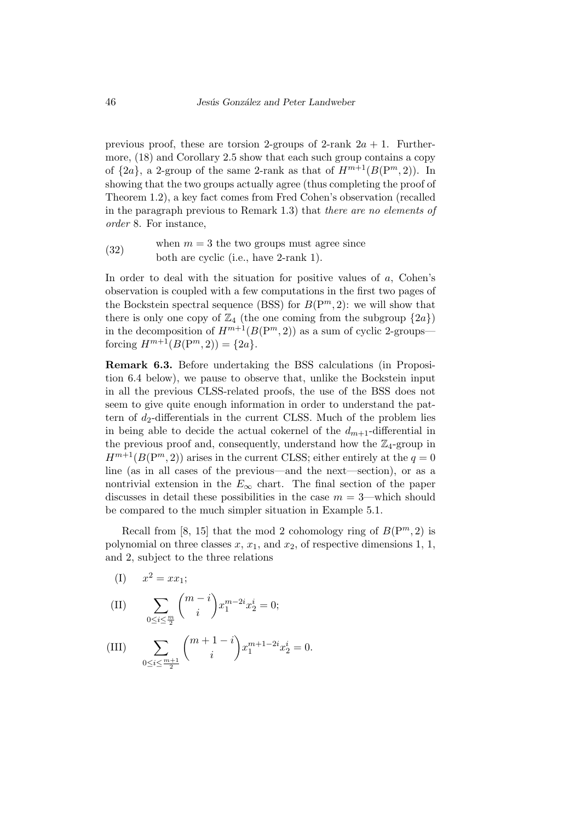previous proof, these are torsion 2-groups of 2-rank  $2a + 1$ . Furthermore, (18) and Corollary 2.5 show that each such group contains a copy of  $\{2a\}$ , a 2-group of the same 2-rank as that of  $H^{m+1}(B(\mathbb{P}^m, 2))$ . In showing that the two groups actually agree (thus completing the proof of Theorem 1.2), a key fact comes from Fred Cohen's observation (recalled in the paragraph previous to Remark 1.3) that *there are no elements of order* 8. For instance,

(32) when  $m = 3$  the two groups must agree since both are cyclic (i.e., have 2-rank 1).

In order to deal with the situation for positive values of *a*, Cohen's observation is coupled with a few computations in the first two pages of the Bockstein spectral sequence (BSS) for  $B(P^m, 2)$ : we will show that there is only one copy of  $\mathbb{Z}_4$  (the one coming from the subgroup  $\{2a\}$ ) in the decomposition of  $H^{m+1}(B(P^m, 2))$  as a sum of cyclic 2-groups forcing  $H^{m+1}(B(\mathbb{P}^m,2)) = \{2a\}.$ 

**Remark 6.3.** Before undertaking the BSS calculations (in Proposition 6.4 below), we pause to observe that, unlike the Bockstein input in all the previous CLSS-related proofs, the use of the BSS does not seem to give quite enough information in order to understand the pattern of  $d_2$ -differentials in the current CLSS. Much of the problem lies in being able to decide the actual cokernel of the  $d_{m+1}$ -differential in the previous proof and, consequently, understand how the  $\mathbb{Z}_4$ -group in  $H^{m+1}(B(\mathbb{P}^m, 2))$  arises in the current CLSS; either entirely at the  $q = 0$ line (as in all cases of the previous—and the next—section), or as a nontrivial extension in the  $E_{\infty}$  chart. The final section of the paper discusses in detail these possibilities in the case *m* = 3—which should be compared to the much simpler situation in Example 5.1.

Recall from [8, 15] that the mod 2 cohomology ring of  $B(P^m, 2)$  is polynomial on three classes  $x$ ,  $x_1$ , and  $x_2$ , of respective dimensions 1, 1, and 2, subject to the three relations

(I) 
$$
x^2 = xx_1;
$$

(II) 
$$
\sum_{0 \le i \le \frac{m}{2}} \binom{m-i}{i} x_1^{m-2i} x_2^i = 0;
$$

(III) 
$$
\sum_{0 \le i \le \frac{m+1}{2}} \binom{m+1-i}{i} x_1^{m+1-2i} x_2^i = 0.
$$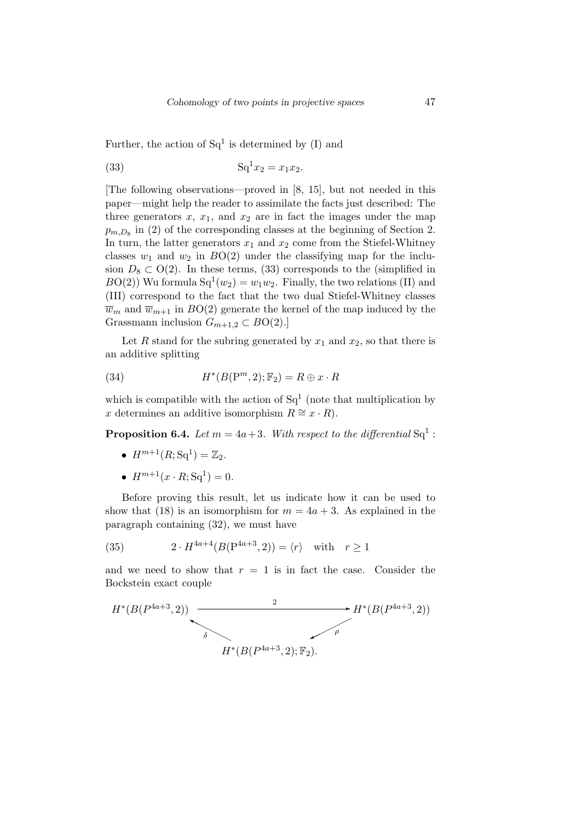Further, the action of  $Sq<sup>1</sup>$  is determined by (I) and

(33) 
$$
Sq^{1}x_{2} = x_{1}x_{2}.
$$

[The following observations—proved in [8, 15], but not needed in this paper—might help the reader to assimilate the facts just described: The three generators  $x$ ,  $x_1$ , and  $x_2$  are in fact the images under the map  $p_{m,D_8}$  in (2) of the corresponding classes at the beginning of Section 2. In turn, the latter generators  $x_1$  and  $x_2$  come from the Stiefel-Whitney classes  $w_1$  and  $w_2$  in  $BO(2)$  under the classifying map for the inclusion  $D_8 \subset O(2)$ . In these terms, (33) corresponds to the (simplified in  $BO(2)$ ) Wu formula  $Sq^1(w_2) = w_1w_2$ . Finally, the two relations (II) and (III) correspond to the fact that the two dual Stiefel-Whitney classes  $\overline{w}_m$  and  $\overline{w}_{m+1}$  in *BO(2)* generate the kernel of the map induced by the Grassmann inclusion  $G_{m+1,2} \subset BO(2).$ 

Let *R* stand for the subring generated by  $x_1$  and  $x_2$ , so that there is an additive splitting

(34) 
$$
H^*(B(\mathbf{P}^m,2); \mathbb{F}_2) = R \oplus x \cdot R
$$

which is compatible with the action of  $Sq<sup>1</sup>$  (note that multiplication by *x* determines an additive isomorphism  $R ≅ x \cdot R$ .

#### **Proposition 6.4.** Let  $m = 4a + 3$ . With respect to the differential  $Sq<sup>1</sup>$ :

- $H^{m+1}(R; Sq^1) = \mathbb{Z}_2.$
- $H^{m+1}(x \cdot R; \mathbf{Sq}^1) = 0.$

Before proving this result, let us indicate how it can be used to show that (18) is an isomorphism for  $m = 4a + 3$ . As explained in the paragraph containing (32), we must have

(35) 
$$
2 \cdot H^{4a+4}(B(P^{4a+3}, 2)) = \langle r \rangle \text{ with } r \ge 1
$$

and we need to show that  $r = 1$  is in fact the case. Consider the Bockstein exact couple

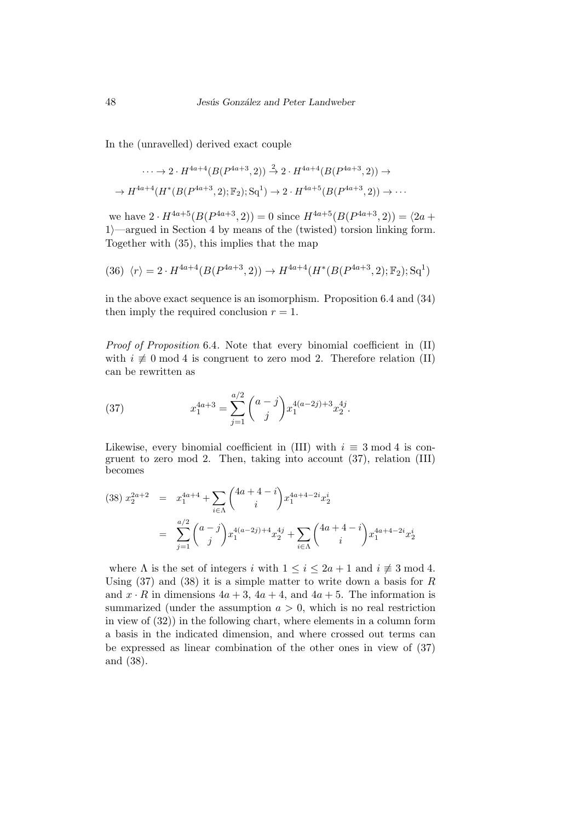In the (unravelled) derived exact couple

$$
\cdots \to 2 \cdot H^{4a+4}(B(P^{4a+3}, 2)) \xrightarrow{2} 2 \cdot H^{4a+4}(B(P^{4a+3}, 2)) \to
$$

$$
\to H^{4a+4}(H^*(B(P^{4a+3}, 2); \mathbb{F}_2); \mathbf{Sq}^1) \to 2 \cdot H^{4a+5}(B(P^{4a+3}, 2)) \to \cdots
$$

we have  $2 \cdot H^{4a+5}(B(P^{4a+3}, 2)) = 0$  since  $H^{4a+5}(B(P^{4a+3}, 2)) = \langle 2a +$ 1*i*—argued in Section 4 by means of the (twisted) torsion linking form. Together with (35), this implies that the map

$$
(36) \ \langle r \rangle = 2 \cdot H^{4a+4}(B(P^{4a+3}, 2)) \rightarrow H^{4a+4}(H^*(B(P^{4a+3}, 2); \mathbb{F}_2); \mathbf{Sq}^1)
$$

in the above exact sequence is an isomorphism. Proposition 6.4 and (34) then imply the required conclusion  $r = 1$ .

*Proof of Proposition* 6.4*.* Note that every binomial coefficient in (II) with  $i \not\equiv 0 \mod 4$  is congruent to zero mod 2. Therefore relation (II) can be rewritten as

(37) 
$$
x_1^{4a+3} = \sum_{j=1}^{a/2} {a-j \choose j} x_1^{4(a-2j)+3} x_2^{4j}.
$$

Likewise, every binomial coefficient in (III) with  $i \equiv 3 \mod 4$  is congruent to zero mod 2. Then, taking into account (37), relation (III) becomes

$$
(38) \ x_2^{2a+2} = x_1^{4a+4} + \sum_{i \in \Lambda} {4a+4-i \choose i} x_1^{4a+4-2i} x_2^i
$$

$$
= \sum_{j=1}^{a/2} {a-j \choose j} x_1^{4(a-2j)+4} x_2^{4j} + \sum_{i \in \Lambda} {4a+4-i \choose i} x_1^{4a+4-2i} x_2^i
$$

where  $\Lambda$  is the set of integers *i* with  $1 \leq i \leq 2a + 1$  and  $i \not\equiv 3 \mod 4$ . Using (37) and (38) it is a simple matter to write down a basis for *R* and  $x \cdot R$  in dimensions  $4a + 3$ ,  $4a + 4$ , and  $4a + 5$ . The information is summarized (under the assumption  $a > 0$ , which is no real restriction in view of (32)) in the following chart, where elements in a column form a basis in the indicated dimension, and where crossed out terms can be expressed as linear combination of the other ones in view of (37) and (38).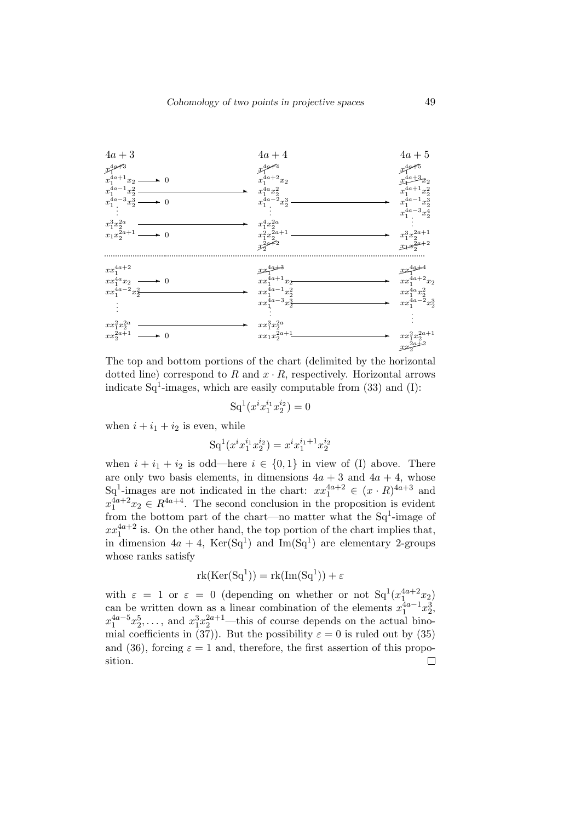

The top and bottom portions of the chart (delimited by the horizontal dotted line) correspond to  $R$  and  $x \cdot R$ , respectively. Horizontal arrows indicate  $Sq^1$ -images, which are easily computable from  $(33)$  and  $(I)$ :

$$
Sq^1(x^i x_1^{i_1} x_2^{i_2}) = 0
$$

when  $i + i_1 + i_2$  is even, while

$$
Sq^1(x^i x_1^{i_1} x_2^{i_2}) = x^i x_1^{i_1+1} x_2^{i_2}
$$

when  $i + i_1 + i_2$  is odd—here  $i \in \{0, 1\}$  in view of (I) above. There are only two basis elements, in dimensions  $4a + 3$  and  $4a + 4$ , whose Sq<sup>1</sup>-images are not indicated in the chart:  $xx_1^{4a+2} \in (x \cdot R)^{4a+3}$  and  $x_1^{4a+2}x_2 \in R^{4a+4}$ . The second conclusion in the proposition is evident from the bottom part of the chart—no matter what the  $Sq^1$ -image of  $xx_1^{4a+2}$  is. On the other hand, the top portion of the chart implies that, in dimension  $4a + 4$ , Ker(Sq<sup>1</sup>) and Im(Sq<sup>1</sup>) are elementary 2-groups whose ranks satisfy

$$
rk(Ker(Sq1)) = rk(Im(Sq1))+\varepsilon
$$

with  $\varepsilon = 1$  or  $\varepsilon = 0$  (depending on whether or not  $Sq^1(x_1^{4a+2}x_2)$ can be written down as a linear combination of the elements  $x_1^{4a-1}x_2^3$ ,  $x_1^{4a-5}x_2^5,\ldots$ , and  $x_1^3x_2^{2a+1}$ —this of course depends on the actual binomial coefficients in (37)). But the possibility  $\varepsilon = 0$  is ruled out by (35) and (36), forcing  $\varepsilon = 1$  and, therefore, the first assertion of this proposition. $\Box$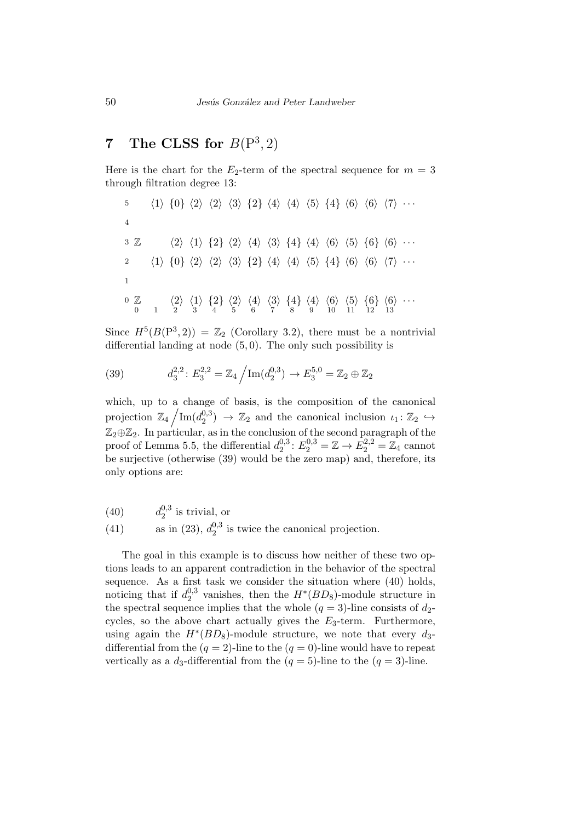## **7** The CLSS for  $B(P^3, 2)$

Here is the chart for the  $E_2$ -term of the spectral sequence for  $m = 3$ through filtration degree 13:

5 
$$
\langle 1 \rangle \{0\} \langle 2 \rangle \langle 2 \rangle \langle 3 \rangle \{2\} \langle 4 \rangle \langle 4 \rangle \langle 5 \rangle \{4\} \langle 6 \rangle \langle 6 \rangle \langle 7 \rangle \cdots
$$
  
\n4  
\n3 Z  $\langle 2 \rangle \langle 1 \rangle \{2\} \langle 2 \rangle \langle 4 \rangle \langle 3 \rangle \{4\} \langle 4 \rangle \langle 6 \rangle \langle 5 \rangle \{6\} \langle 6 \rangle \cdots$   
\n2  $\langle 1 \rangle \{0\} \langle 2 \rangle \langle 2 \rangle \langle 3 \rangle \{2\} \langle 4 \rangle \langle 4 \rangle \langle 5 \rangle \{4\} \langle 6 \rangle \langle 6 \rangle \langle 7 \rangle \cdots$   
\n1  
\n0 Z  $\langle 2 \rangle \langle 1 \rangle \{2\} \langle 2 \rangle \langle 4 \rangle \langle 3 \rangle \{4\} \langle 4 \rangle \langle 6 \rangle \langle 5 \rangle \{6\} \langle 6 \rangle \cdots$   
\n0 Z  $\langle 2 \rangle \langle 1 \rangle \{2\} \langle 2 \rangle \langle 4 \rangle \langle 3 \rangle \{4\} \langle 4 \rangle \langle 6 \rangle \langle 5 \rangle \{6\} \langle 6 \rangle \cdots$   
\n1 1 1 2 1 3

Since  $H^5(B(P^3, 2)) = \mathbb{Z}_2$  (Corollary 3.2), there must be a nontrivial differential landing at node (5*,* 0). The only such possibility is

(39) 
$$
d_3^{2,2}: E_3^{2,2} = \mathbb{Z}_4 / \text{Im}(d_2^{0,3}) \to E_3^{5,0} = \mathbb{Z}_2 \oplus \mathbb{Z}_2
$$

which, up to a change of basis, is the composition of the canonical projection  $\mathbb{Z}_4 / \text{Im}(d_2^{0,3})$  $\binom{0,3}{2}$   $\rightarrow \mathbb{Z}_2$  and the canonical inclusion  $\iota_1 : \mathbb{Z}_2 \hookrightarrow$ Z2*⊕*Z2. In particular, as in the conclusion of the second paragraph of the proof of Lemma 5.5, the differential  $d_2^{0,3}$  $E_2^{0,3}: E_2^{0,3} = \mathbb{Z} \to \overline{E}_2^{2,2} = \mathbb{Z}_4$  cannot be surjective (otherwise (39) would be the zero map) and, therefore, its only options are:

- $d_2^{0,3}$  $(40)$   $d_2^{0,3}$  is trivial, or
- as in  $(23)$ ,  $d_2^{0,3}$ (41) as in (23),  $d_2^{0,3}$  is twice the canonical projection.

The goal in this example is to discuss how neither of these two options leads to an apparent contradiction in the behavior of the spectral sequence. As a first task we consider the situation where (40) holds, noticing that if  $d_2^{0,3}$  $v_2^{0,3}$  vanishes, then the  $H^*(BD_8)$ -module structure in the spectral sequence implies that the whole  $(q = 3)$ -line consists of  $d_2$ cycles, so the above chart actually gives the *E*3-term. Furthermore, using again the  $H^*(BD_8)$ -module structure, we note that every  $d_3$ differential from the  $(q = 2)$ -line to the  $(q = 0)$ -line would have to repeat vertically as a  $d_3$ -differential from the  $(q = 5)$ -line to the  $(q = 3)$ -line.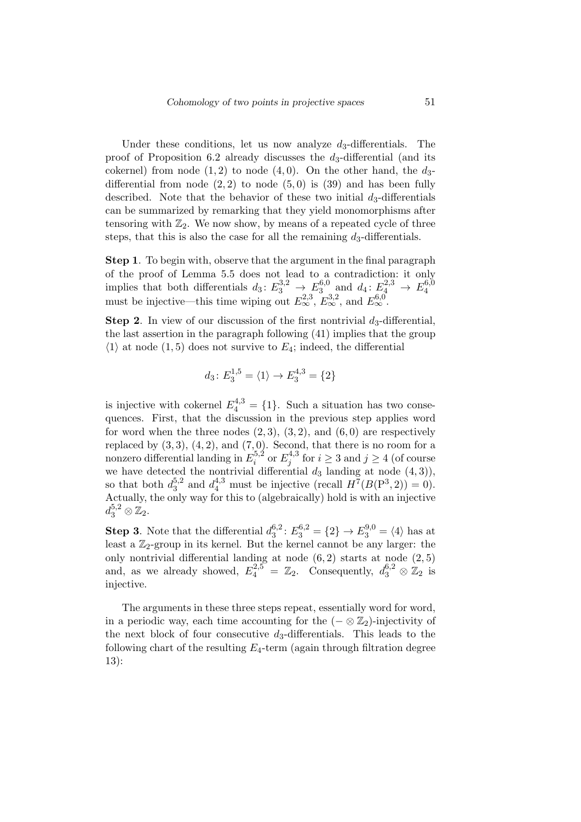Under these conditions, let us now analyze  $d_3$ -differentials. The proof of Proposition 6.2 already discusses the *d*3-differential (and its cokernel) from node  $(1, 2)$  to node  $(4, 0)$ . On the other hand, the  $d_3$ differential from node  $(2, 2)$  to node  $(5, 0)$  is  $(39)$  and has been fully described. Note that the behavior of these two initial  $d_3$ -differentials can be summarized by remarking that they yield monomorphisms after tensoring with  $\mathbb{Z}_2$ . We now show, by means of a repeated cycle of three steps, that this is also the case for all the remaining  $d_3$ -differentials.

**Step 1**. To begin with, observe that the argument in the final paragraph of the proof of Lemma 5.5 does not lead to a contradiction: it only implies that both differentials  $d_3: E_3^{3,2} \to E_3^{6,0}$  $\frac{1}{3}$ , and  $d_4: E_4^{2,3} \rightarrow E_4^{6,0}$ 4 must be injective—this time wiping out  $E_{\infty}^{2,3}$ ,  $E_{\infty}^{3,2}$ , and  $E_{\infty}^{6,0}$ .

**Step 2**. In view of our discussion of the first nontrivial  $d_3$ -differential, the last assertion in the paragraph following (41) implies that the group  $\langle 1 \rangle$  at node (1,5) does not survive to  $E_4$ ; indeed, the differential

$$
d_3 \colon E_3^{1,5} = \langle 1 \rangle \to E_3^{4,3} = \{2\}
$$

is injective with cokernel  $E_4^{4,3} = \{1\}$ . Such a situation has two consequences. First, that the discussion in the previous step applies word for word when the three nodes  $(2,3)$ ,  $(3,2)$ , and  $(6,0)$  are respectively replaced by  $(3, 3)$ ,  $(4, 2)$ , and  $(7, 0)$ . Second, that there is no room for a nonzero differential landing in *E* 5*,*2  $E_j^{5,2}$  or  $E_j^{4,3}$  $j^{4,3}$  for  $i \geq 3$  and  $j \geq 4$  (of course we have detected the nontrivial differential  $d_3$  landing at node  $(4,3)$ ), so that both  $d_3^{5,2}$  $a_3^{4,3}$  must be injective (recall  $H^7(B(P^3, 2)) = 0$ ). Actually, the only way for this to (algebraically) hold is with an injective  $d_3^{5,2}\otimes\mathbb{Z}_2.$ 

**Step 3**. Note that the differential  $d_3^{6,2}$  $E_3^{6,2}: E_3^{6,2} = \{2\} \rightarrow E_3^{9,0} = \langle 4 \rangle$  has at least a  $\mathbb{Z}_2$ -group in its kernel. But the kernel cannot be any larger: the only nontrivial differential landing at node (6*,* 2) starts at node (2*,* 5) and, as we already showed,  $E_4^{2,5} = \mathbb{Z}_2$ . Consequently,  $d_3^{6,2} \otimes \mathbb{Z}_2$  is injective.

The arguments in these three steps repeat, essentially word for word, in a periodic way, each time accounting for the  $(- \otimes \mathbb{Z}_2)$ -injectivity of the next block of four consecutive *d*3-differentials. This leads to the following chart of the resulting *E*4-term (again through filtration degree 13):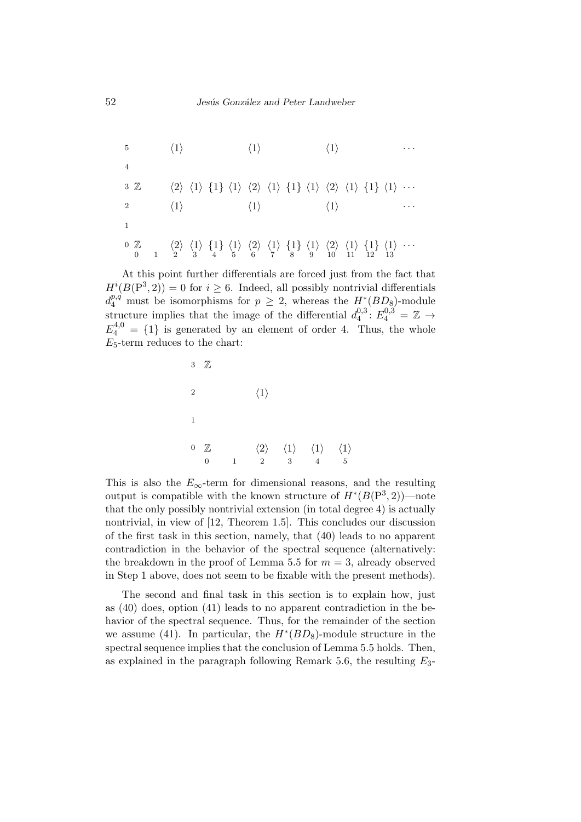5 
$$
\langle 1 \rangle
$$
  $\langle 1 \rangle$   $\langle 1 \rangle$  ...  
\n4  
\n3 Z  $\langle 2 \rangle \langle 1 \rangle \{1\} \langle 1 \rangle \langle 2 \rangle \langle 1 \rangle \{1\} \langle 1 \rangle \langle 2 \rangle \langle 1 \rangle \{1\} \langle 1 \rangle ...$   
\n2  $\langle 1 \rangle$   $\langle 1 \rangle$   $\langle 1 \rangle$   $\langle 1 \rangle$  ...  
\n1  
\n0 Z  $\langle 2 \rangle \langle 1 \rangle \{1\} \langle 1 \rangle \langle 2 \rangle \langle 1 \rangle \{1\} \langle 1 \rangle \langle 2 \rangle \langle 1 \rangle \{1\} \langle 1 \rangle ...$   
\n0 I  $\langle 2 \rangle \langle 1 \rangle \{1\} \langle 1 \rangle \langle 2 \rangle \langle 1 \rangle \{1\} \langle 1 \rangle \langle 1 \rangle ...$ 

At this point further differentials are forced just from the fact that  $H^{i}(B(P^{3}, 2)) = 0$  for  $i \geq 6$ . Indeed, all possibly nontrivial differentials  $d_4^{p,q}$  must be isomorphisms for  $p \geq 2$ , whereas the  $H^*(BD_8)$ -module structure implies that the image of the differential  $d_4^{0,3}$  $E_4^{0,3}$ :  $E_4^{0,3} = \mathbb{Z} \rightarrow$  $E_4^{4,0} = \{1\}$  is generated by an element of order 4. Thus, the whole *E*5-term reduces to the chart:

$$
\begin{array}{ccccccccc}\n3 & \mathbb{Z} & & & & & \\
2 & & & & & & \\
1 & & & & & & \\
1 & & & & & & \\
0 & \mathbb{Z} & & & & & \\
0 & 1 & 2 & 3 & 4 & 5\n\end{array}
$$

This is also the  $E_\infty$ -term for dimensional reasons, and the resulting output is compatible with the known structure of  $H^*(B(\mathbb{P}^3,2))$ —note that the only possibly nontrivial extension (in total degree 4) is actually nontrivial, in view of [12, Theorem 1.5]. This concludes our discussion of the first task in this section, namely, that (40) leads to no apparent contradiction in the behavior of the spectral sequence (alternatively: the breakdown in the proof of Lemma 5.5 for  $m = 3$ , already observed in Step 1 above, does not seem to be fixable with the present methods).

The second and final task in this section is to explain how, just as (40) does, option (41) leads to no apparent contradiction in the behavior of the spectral sequence. Thus, for the remainder of the section we assume (41). In particular, the *H<sup>∗</sup>* (*BD*8)-module structure in the spectral sequence implies that the conclusion of Lemma 5.5 holds. Then, as explained in the paragraph following Remark 5.6, the resulting *E*3-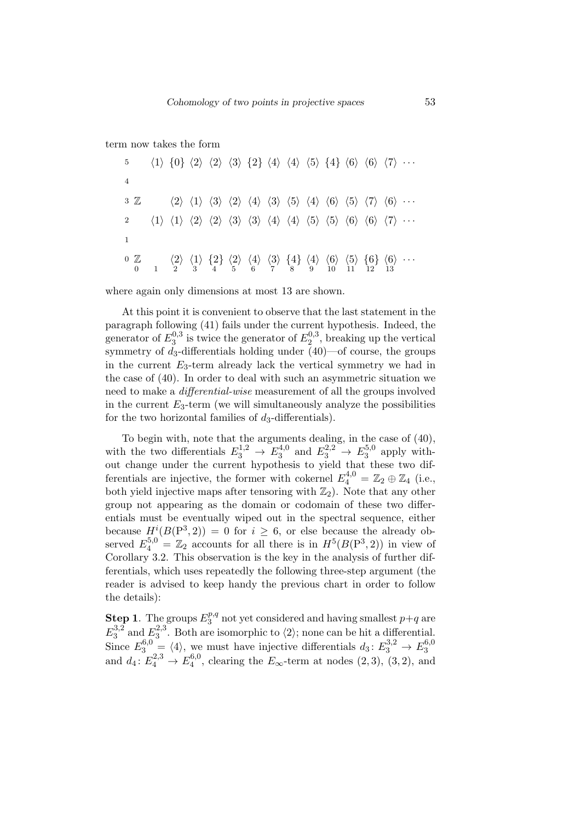#### term now takes the form

| $5^{\circ}$                                                                                                                                                                                                                                                                                                              |  |  |  | $\langle 1 \rangle$ $\{0\}$ $\langle 2 \rangle$ $\langle 2 \rangle$ $\langle 3 \rangle$ $\{2\}$ $\langle 4 \rangle$ $\langle 4 \rangle$ $\langle 5 \rangle$ $\{4\}$ $\langle 6 \rangle$ $\langle 6 \rangle$ $\langle 7 \rangle$ $\cdots$                                     |  |  |  |
|--------------------------------------------------------------------------------------------------------------------------------------------------------------------------------------------------------------------------------------------------------------------------------------------------------------------------|--|--|--|------------------------------------------------------------------------------------------------------------------------------------------------------------------------------------------------------------------------------------------------------------------------------|--|--|--|
| $\overline{4}$                                                                                                                                                                                                                                                                                                           |  |  |  |                                                                                                                                                                                                                                                                              |  |  |  |
| $3 \mathbb{Z}$                                                                                                                                                                                                                                                                                                           |  |  |  | $\langle 2 \rangle \langle 1 \rangle \langle 3 \rangle \langle 2 \rangle \langle 4 \rangle \langle 3 \rangle \langle 5 \rangle \langle 4 \rangle \langle 6 \rangle \langle 5 \rangle \langle 7 \rangle \langle 6 \rangle \cdots$                                             |  |  |  |
|                                                                                                                                                                                                                                                                                                                          |  |  |  | $\langle 1 \rangle$ $\langle 1 \rangle$ $\langle 2 \rangle$ $\langle 2 \rangle$ $\langle 3 \rangle$ $\langle 3 \rangle$ $\langle 4 \rangle$ $\langle 4 \rangle$ $\langle 5 \rangle$ $\langle 5 \rangle$ $\langle 6 \rangle$ $\langle 6 \rangle$ $\langle 7 \rangle$ $\cdots$ |  |  |  |
|                                                                                                                                                                                                                                                                                                                          |  |  |  |                                                                                                                                                                                                                                                                              |  |  |  |
| $\begin{array}{ccccccccc} 0 & \mathbb{Z} & & \langle 2 \rangle & \langle 1 \rangle & \{2\} & \langle 2 \rangle & \langle 4 \rangle & \langle 3 \rangle & \{4\} & \langle 6 \rangle & \langle 5 \rangle & \{6\} & \langle 6 \rangle & \cdots \\ 0 & 1 & 2 & 3 & 4 & 5 & 6 & 7 & 8 & 9 & 10 & 11 & 12 & 13 \\ \end{array}$ |  |  |  |                                                                                                                                                                                                                                                                              |  |  |  |

where again only dimensions at most 13 are shown.

At this point it is convenient to observe that the last statement in the paragraph following (41) fails under the current hypothesis. Indeed, the generator of  $E_3^{0,3}$  $E_3^{0,3}$  is twice the generator of  $E_2^{0,3}$  $2^{0,3}$ , breaking up the vertical symmetry of  $d_3$ -differentials holding under  $(40)$ —of course, the groups in the current *E*3-term already lack the vertical symmetry we had in the case of (40). In order to deal with such an asymmetric situation we need to make a *differential-wise* measurement of all the groups involved in the current  $E_3$ -term (we will simultaneously analyze the possibilities for the two horizontal families of *d*3-differentials).

To begin with, note that the arguments dealing, in the case of (40), with the two differentials  $E_3^{1,2} \rightarrow E_3^{4,0}$  $E_3^{4,0}$  and  $E_3^{2,2} \rightarrow E_3^{5,0}$  $3^{5,0}$  apply without change under the current hypothesis to yield that these two differentials are injective, the former with cokernel  $E_4^{4,0} = \mathbb{Z}_2 \oplus \mathbb{Z}_4$  (i.e., both yield injective maps after tensoring with  $\mathbb{Z}_2$ ). Note that any other group not appearing as the domain or codomain of these two differentials must be eventually wiped out in the spectral sequence, either because  $H^{i}(B(P^3, 2)) = 0$  for  $i \geq 6$ , or else because the already observed  $E_4^{5,0} = \mathbb{Z}_2$  accounts for all there is in  $H^5(B(\mathbb{P}^3,2))$  in view of Corollary 3.2. This observation is the key in the analysis of further differentials, which uses repeatedly the following three-step argument (the reader is advised to keep handy the previous chart in order to follow the details):

**Step 1**. The groups  $E_3^{p,q}$  $a_3^{p,q}$  not yet considered and having smallest  $p+q$  are  $E_3^{3,2}$  $^{3,2}_{3}$  and  $E_3^{2,3}$  $\frac{2}{3}$ . Both are isomorphic to  $\langle 2 \rangle$ ; none can be hit a differential. Since  $E_3^{6,0} = \langle 4 \rangle$ , we must have injective differentials  $d_3: E_3^{3,2} \to E_3^{6,0}$ 3 and  $d_4: E_4^{2,3} \to E_4^{6,0}$  $\frac{4^{0,0}}{4}$ , clearing the  $E_{\infty}$ -term at nodes  $(2,3)$ ,  $(3,2)$ , and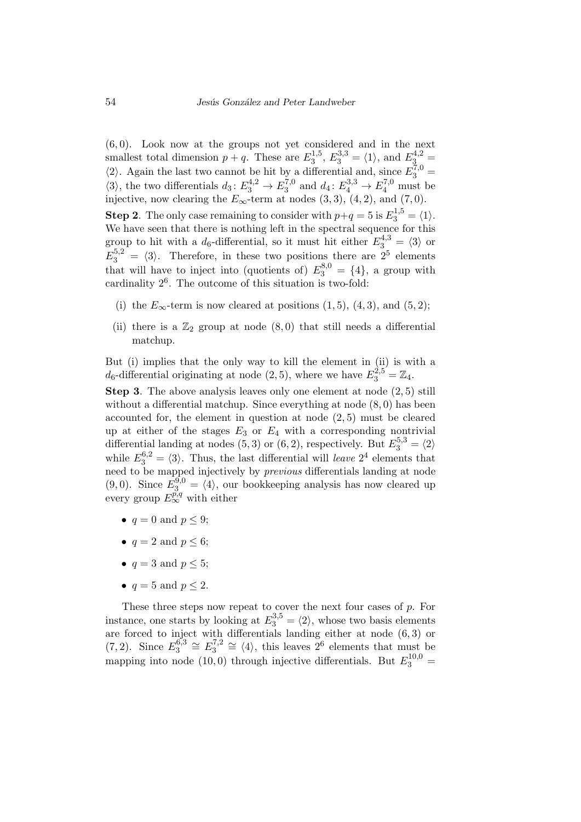(6*,* 0). Look now at the groups not yet considered and in the next smallest total dimension  $p + q$ . These are  $E_3^{1,5}$  $E_3^{1,5}, E_3^{3,3} = \langle 1 \rangle$ , and  $E_3^{4,2} =$  $\langle 2 \rangle$ . Again the last two cannot be hit by a differential and, since  $E_3^{7,0}$  =  $\langle 3 \rangle$ , the two differentials  $d_3 \colon E_3^{4,2} \to E_3^{7,0}$  $a_3^{7,0}$  and  $d_4: E_4^{3,3} \to E_4^{7,0}$  must be injective, now clearing the  $E_\infty$ -term at nodes  $(3,3)$ ,  $(4,2)$ , and  $(7,0)$ .

**Step 2**. The only case remaining to consider with  $p+q = 5$  is  $E_3^{1,5} = \langle 1 \rangle$ . We have seen that there is nothing left in the spectral sequence for this group to hit with a  $d_6$ -differential, so it must hit either  $E_3^{4,3} = \langle 3 \rangle$  or  $E_3^{5,2} = \langle 3 \rangle$ . Therefore, in these two positions there are  $2^5$  elements that will have to inject into (quotients of)  $E_3^{8,0} = \{4\}$ , a group with cardinality  $2^6$ . The outcome of this situation is two-fold:

- (i) the  $E_\infty$ -term is now cleared at positions  $(1,5)$ ,  $(4,3)$ , and  $(5,2)$ ;
- (ii) there is a  $\mathbb{Z}_2$  group at node  $(8,0)$  that still needs a differential matchup.

But (i) implies that the only way to kill the element in (ii) is with a  $d_6$ -differential originating at node (2, 5), where we have  $E_3^{2,5} = \mathbb{Z}_4$ .

**Step 3**. The above analysis leaves only one element at node (2*,* 5) still without a differential matchup. Since everything at node (8*,* 0) has been accounted for, the element in question at node (2*,* 5) must be cleared up at either of the stages  $E_3$  or  $E_4$  with a corresponding nontrivial differential landing at nodes (5, 3) or (6, 2), respectively. But  $E_3^{5,3} = \langle 2 \rangle$ while  $E_3^{6,2} = \langle 3 \rangle$ . Thus, the last differential will *leave*  $2^4$  elements that need to be mapped injectively by *previous* differentials landing at node (9,0). Since  $E_3^{9,0} = \langle 4 \rangle$ , our bookkeeping analysis has now cleared up every group  $E^{p,q}_{\infty}$  with either

- $q = 0$  and  $p < 9$ ;
- $q = 2$  and  $p \leq 6$ ;
- $q = 3$  and  $p \leq 5$ ;
- $q = 5$  and  $p \leq 2$ .

These three steps now repeat to cover the next four cases of *p*. For instance, one starts by looking at  $E_3^{3,5} = \langle 2 \rangle$ , whose two basis elements are forced to inject with differentials landing either at node (6*,* 3) or  $(7, 2)$ . Since  $E_3^{6,3}$  $E_3^{6,3}$   $\cong E_3^{7,2}$  $\frac{7}{3}$ <sup>7,2</sup> ≅  $\langle 4 \rangle$ , this leaves 2<sup>6</sup> elements that must be mapping into node (10,0) through injective differentials. But  $E_3^{10,0}$  =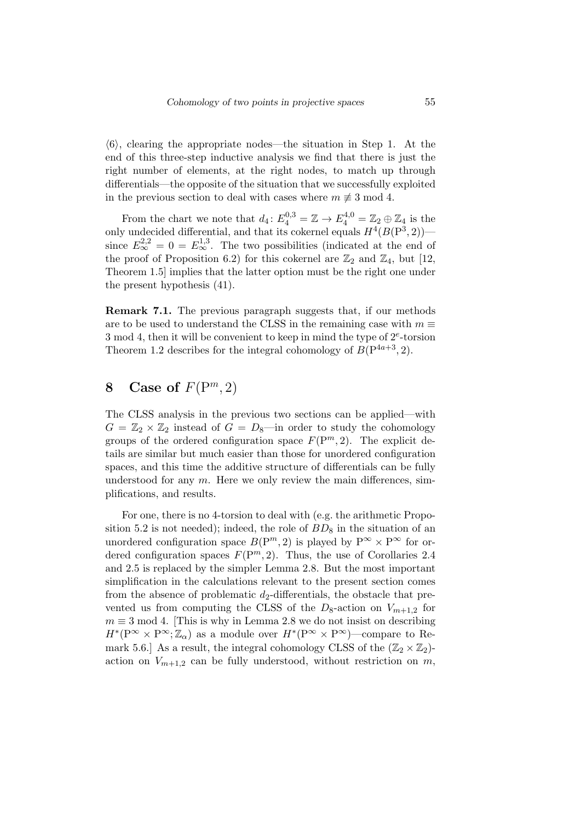$\langle 6 \rangle$ , clearing the appropriate nodes—the situation in Step 1. At the end of this three-step inductive analysis we find that there is just the right number of elements, at the right nodes, to match up through differentials—the opposite of the situation that we successfully exploited in the previous section to deal with cases where  $m \not\equiv 3 \mod 4$ .

From the chart we note that  $d_4: E_4^{0,3} = \mathbb{Z} \to E_4^{4,0} = \mathbb{Z}_2 \oplus \mathbb{Z}_4$  is the only undecided differential, and that its cokernel equals  $H^4(B(\mathbb{P}^3, 2))$ since  $E_{\infty}^{2,2} = 0 = E_{\infty}^{1,3}$ . The two possibilities (indicated at the end of the proof of Proposition 6.2) for this cokernel are  $\mathbb{Z}_2$  and  $\mathbb{Z}_4$ , but [12, Theorem 1.5] implies that the latter option must be the right one under the present hypothesis (41).

**Remark 7.1.** The previous paragraph suggests that, if our methods are to be used to understand the CLSS in the remaining case with  $m \equiv$ 3 mod 4, then it will be convenient to keep in mind the type of 2*<sup>e</sup>* -torsion Theorem 1.2 describes for the integral cohomology of  $B(P^{4a+3}, 2)$ .

### **8** Case of  $F(P^m, 2)$

The CLSS analysis in the previous two sections can be applied—with  $G = \mathbb{Z}_2 \times \mathbb{Z}_2$  instead of  $G = D_8$ —in order to study the cohomology groups of the ordered configuration space  $F(P^m, 2)$ . The explicit details are similar but much easier than those for unordered configuration spaces, and this time the additive structure of differentials can be fully understood for any *m*. Here we only review the main differences, simplifications, and results.

For one, there is no 4-torsion to deal with (e.g. the arithmetic Proposition 5.2 is not needed); indeed, the role of  $BD_8$  in the situation of an unordered configuration space  $B(P^m, 2)$  is played by  $P^{\infty} \times P^{\infty}$  for ordered configuration spaces  $F(P^m, 2)$ . Thus, the use of Corollaries 2.4 and 2.5 is replaced by the simpler Lemma 2.8. But the most important simplification in the calculations relevant to the present section comes from the absence of problematic  $d_2$ -differentials, the obstacle that prevented us from computing the CLSS of the  $D_8$ -action on  $V_{m+1,2}$  for  $m \equiv 3 \mod 4$ . [This is why in Lemma 2.8 we do not insist on describing  $H^*(P^\infty \times P^\infty; \mathbb{Z}_\alpha)$  as a module over  $H^*(P^\infty \times P^\infty)$ —compare to Remark 5.6.] As a result, the integral cohomology CLSS of the  $(\mathbb{Z}_2 \times \mathbb{Z}_2)$ action on  $V_{m+1,2}$  can be fully understood, without restriction on  $m$ ,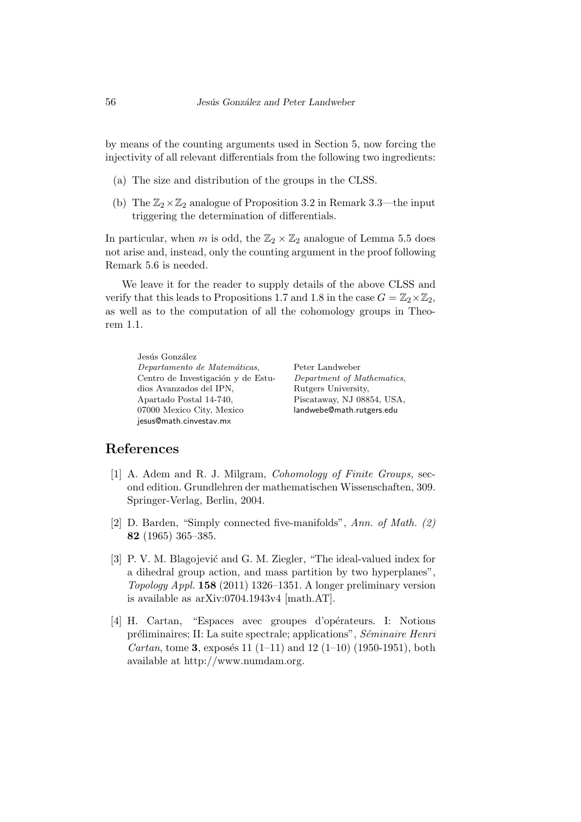by means of the counting arguments used in Section 5, now forcing the injectivity of all relevant differentials from the following two ingredients:

- (a) The size and distribution of the groups in the CLSS.
- (b) The  $\mathbb{Z}_2\times\mathbb{Z}_2$  analogue of Proposition 3.2 in Remark 3.3—the input triggering the determination of differentials.

In particular, when *m* is odd, the  $\mathbb{Z}_2 \times \mathbb{Z}_2$  analogue of Lemma 5.5 does not arise and, instead, only the counting argument in the proof following Remark 5.6 is needed.

We leave it for the reader to supply details of the above CLSS and verify that this leads to Propositions 1.7 and 1.8 in the case  $G = \mathbb{Z}_2 \times \mathbb{Z}_2$ , as well as to the computation of all the cohomology groups in Theorem 1.1.

Jesús González *Departamento de Matem´aticas*, Centro de Investigación y de Estudios Avanzados del IPN, Apartado Postal 14-740, 07000 Mexico City, Mexico jesus@math.cinvestav.mx

Peter Landweber *Department of Mathematics*, Rutgers University, Piscataway, NJ 08854, USA, landwebe@math.rutgers.edu

#### **References**

- [1] A. Adem and R. J. Milgram, *Cohomology of Finite Groups,* second edition. Grundlehren der mathematischen Wissenschaften, 309. Springer-Verlag, Berlin, 2004.
- [2] D. Barden, "Simply connected five-manifolds", *Ann. of Math. (2)* **82** (1965) 365–385.
- [3] P. V. M. Blagojević and G. M. Ziegler, "The ideal-valued index for a dihedral group action, and mass partition by two hyperplanes", *Topology Appl.* **158** (2011) 1326–1351. A longer preliminary version is available as arXiv:0704.1943v4 [math.AT].
- [4] H. Cartan, "Espaces avec groupes d'opérateurs. I: Notions préliminaires; II: La suite spectrale; applications", *Séminaire Henri Cartan*, tome **3**, exposés 11  $(1-11)$  and 12  $(1-10)$   $(1950-1951)$ , both available at http://www.numdam.org.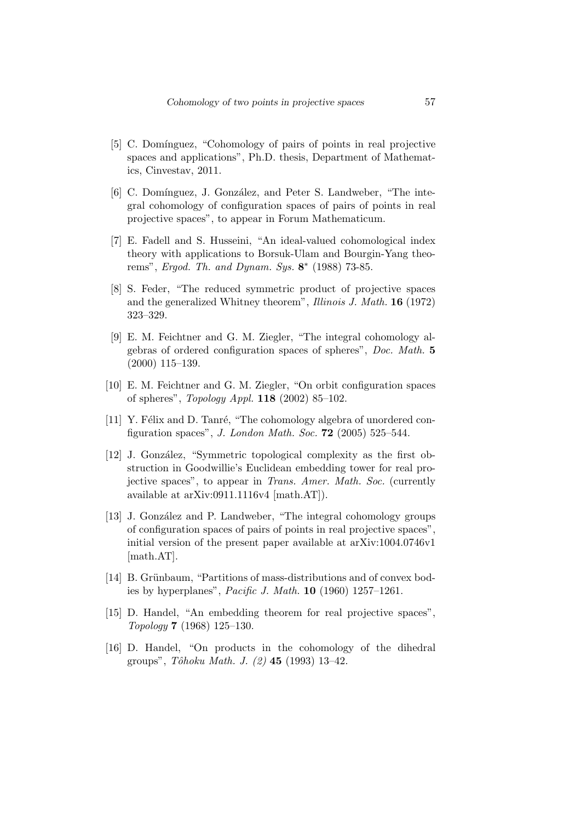- [5] C. Domínguez, "Cohomology of pairs of points in real projective spaces and applications", Ph.D. thesis, Department of Mathematics, Cinvestav, 2011.
- [6] C. Domínguez, J. González, and Peter S. Landweber, "The integral cohomology of configuration spaces of pairs of points in real projective spaces", to appear in Forum Mathematicum.
- [7] E. Fadell and S. Husseini, "An ideal-valued cohomological index theory with applications to Borsuk-Ulam and Bourgin-Yang theorems", *Ergod. Th. and Dynam. Sys.* **8** *∗* (1988) 73-85.
- [8] S. Feder, "The reduced symmetric product of projective spaces and the generalized Whitney theorem", *Illinois J. Math.* **16** (1972) 323–329.
- [9] E. M. Feichtner and G. M. Ziegler, "The integral cohomology algebras of ordered configuration spaces of spheres", *Doc. Math.* **5** (2000) 115–139.
- [10] E. M. Feichtner and G. M. Ziegler, "On orbit configuration spaces of spheres", *Topology Appl.* **118** (2002) 85–102.
- [11] Y. Félix and D. Tanré, "The cohomology algebra of unordered configuration spaces", *J. London Math. Soc.* **72** (2005) 525–544.
- [12] J. González, "Symmetric topological complexity as the first obstruction in Goodwillie's Euclidean embedding tower for real projective spaces", to appear in *Trans. Amer. Math. Soc.* (currently available at arXiv:0911.1116v4 [math.AT]).
- [13] J. González and P. Landweber, "The integral cohomology groups of configuration spaces of pairs of points in real projective spaces", initial version of the present paper available at arXiv:1004.0746v1 [math.AT].
- [14] B. Grünbaum, "Partitions of mass-distributions and of convex bodies by hyperplanes", *Pacific J. Math.* **10** (1960) 1257–1261.
- [15] D. Handel, "An embedding theorem for real projective spaces", *Topology* **7** (1968) 125–130.
- [16] D. Handel, "On products in the cohomology of the dihedral groups", *Tˆohoku Math. J. (2)* **45** (1993) 13–42.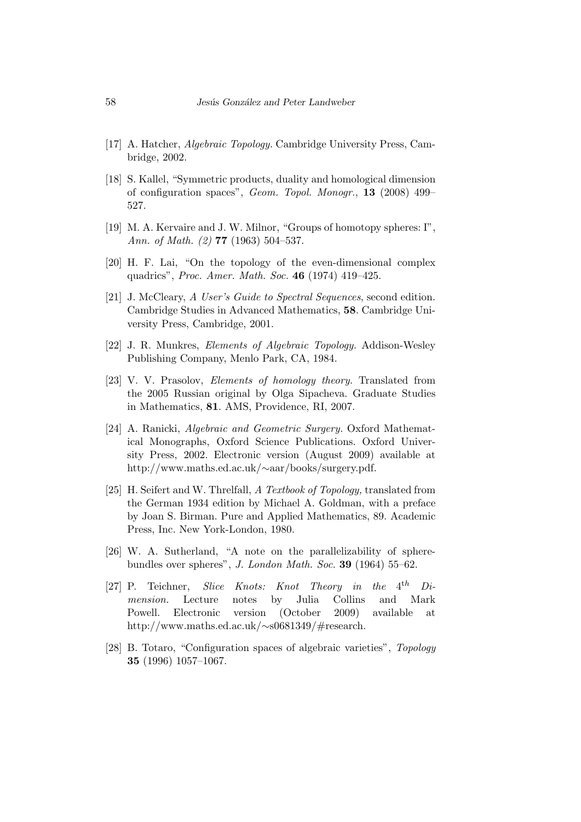- [17] A. Hatcher, *Algebraic Topology.* Cambridge University Press, Cambridge, 2002.
- [18] S. Kallel, "Symmetric products, duality and homological dimension of configuration spaces", *Geom. Topol. Monogr.*, **13** (2008) 499– 527.
- [19] M. A. Kervaire and J. W. Milnor, "Groups of homotopy spheres: I", *Ann. of Math. (2)* **77** (1963) 504–537.
- [20] H. F. Lai, "On the topology of the even-dimensional complex quadrics", *Proc. Amer. Math. Soc.* **46** (1974) 419–425.
- [21] J. McCleary, *A User's Guide to Spectral Sequences*, second edition. Cambridge Studies in Advanced Mathematics, **58**. Cambridge University Press, Cambridge, 2001.
- [22] J. R. Munkres, *Elements of Algebraic Topology.* Addison-Wesley Publishing Company, Menlo Park, CA, 1984.
- [23] V. V. Prasolov, *Elements of homology theory.* Translated from the 2005 Russian original by Olga Sipacheva. Graduate Studies in Mathematics, **81**. AMS, Providence, RI, 2007.
- [24] A. Ranicki, *Algebraic and Geometric Surgery.* Oxford Mathematical Monographs, Oxford Science Publications. Oxford University Press, 2002. Electronic version (August 2009) available at http://www.maths.ed.ac.uk/*∼*aar/books/surgery.pdf.
- [25] H. Seifert and W. Threlfall, *A Textbook of Topology,* translated from the German 1934 edition by Michael A. Goldman, with a preface by Joan S. Birman. Pure and Applied Mathematics, 89. Academic Press, Inc. New York-London, 1980.
- [26] W. A. Sutherland, "A note on the parallelizability of spherebundles over spheres", *J. London Math. Soc.* **39** (1964) 55–62.
- [27] P. Teichner, *Slice Knots: Knot Theory in*  $the$   $4^{th}$   $Di$ *mension.* Lecture notes by Julia Collins and Mark Powell. Electronic version (October 2009) available at http://www.maths.ed.ac.uk/*∼*s0681349/#research.
- [28] B. Totaro, "Configuration spaces of algebraic varieties", *Topology* **35** (1996) 1057–1067.